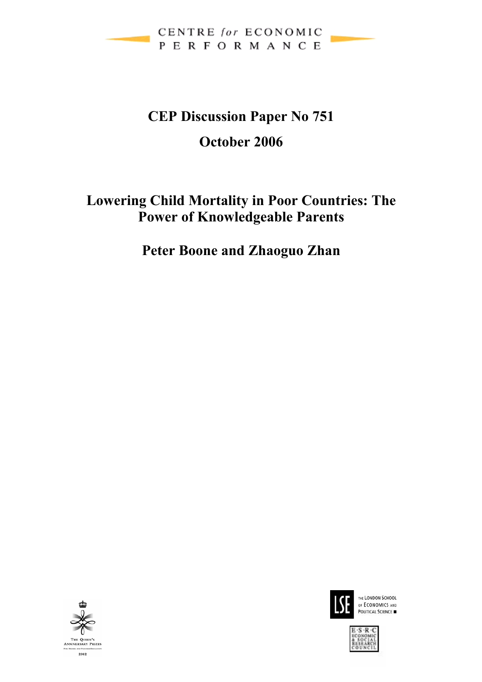

# **CEP Discussion Paper No 751 October 2006**

## **Lowering Child Mortality in Poor Countries: The Power of Knowledgeable Parents**

**Peter Boone and Zhaoguo Zhan** 





THE LONDON SCHOOL OF ECONOMICS AND POLITICAL SCIENCE

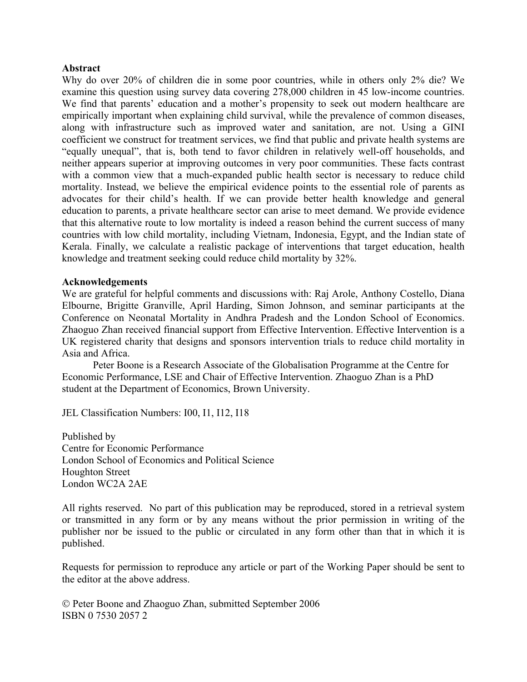#### **Abstract**

Why do over 20% of children die in some poor countries, while in others only 2% die? We examine this question using survey data covering 278,000 children in 45 low-income countries. We find that parents' education and a mother's propensity to seek out modern healthcare are empirically important when explaining child survival, while the prevalence of common diseases, along with infrastructure such as improved water and sanitation, are not. Using a GINI coefficient we construct for treatment services, we find that public and private health systems are "equally unequal", that is, both tend to favor children in relatively well-off households, and neither appears superior at improving outcomes in very poor communities. These facts contrast with a common view that a much-expanded public health sector is necessary to reduce child mortality. Instead, we believe the empirical evidence points to the essential role of parents as advocates for their child's health. If we can provide better health knowledge and general education to parents, a private healthcare sector can arise to meet demand. We provide evidence that this alternative route to low mortality is indeed a reason behind the current success of many countries with low child mortality, including Vietnam, Indonesia, Egypt, and the Indian state of Kerala. Finally, we calculate a realistic package of interventions that target education, health knowledge and treatment seeking could reduce child mortality by 32%.

#### **Acknowledgements**

We are grateful for helpful comments and discussions with: Raj Arole, Anthony Costello, Diana Elbourne, Brigitte Granville, April Harding, Simon Johnson, and seminar participants at the Conference on Neonatal Mortality in Andhra Pradesh and the London School of Economics. Zhaoguo Zhan received financial support from Effective Intervention. Effective Intervention is a UK registered charity that designs and sponsors intervention trials to reduce child mortality in Asia and Africa.

Peter Boone is a Research Associate of the Globalisation Programme at the Centre for Economic Performance, LSE and Chair of Effective Intervention. Zhaoguo Zhan is a PhD student at the Department of Economics, Brown University.

JEL Classification Numbers: I00, I1, I12, I18

Published by Centre for Economic Performance London School of Economics and Political Science Houghton Street London WC2A 2AE

All rights reserved. No part of this publication may be reproduced, stored in a retrieval system or transmitted in any form or by any means without the prior permission in writing of the publisher nor be issued to the public or circulated in any form other than that in which it is published.

Requests for permission to reproduce any article or part of the Working Paper should be sent to the editor at the above address.

© Peter Boone and Zhaoguo Zhan, submitted September 2006 ISBN 0 7530 2057 2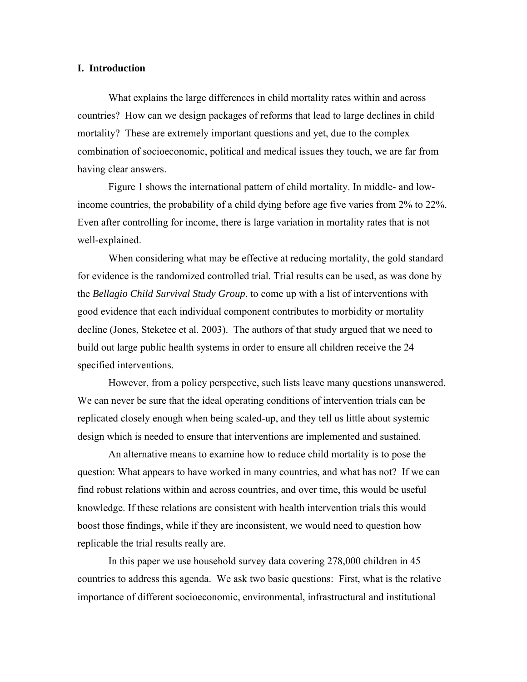#### **I. Introduction**

What explains the large differences in child mortality rates within and across countries? How can we design packages of reforms that lead to large declines in child mortality? These are extremely important questions and yet, due to the complex combination of socioeconomic, political and medical issues they touch, we are far from having clear answers.

Figure 1 shows the international pattern of child mortality. In middle- and lowincome countries, the probability of a child dying before age five varies from 2% to 22%. Even after controlling for income, there is large variation in mortality rates that is not well-explained.

When considering what may be effective at reducing mortality, the gold standard for evidence is the randomized controlled trial. Trial results can be used, as was done by the *Bellagio Child Survival Study Group*, to come up with a list of interventions with good evidence that each individual component contributes to morbidity or mortality decline (Jones, Steketee et al. 2003). The authors of that study argued that we need to build out large public health systems in order to ensure all children receive the 24 specified interventions.

However, from a policy perspective, such lists leave many questions unanswered. We can never be sure that the ideal operating conditions of intervention trials can be replicated closely enough when being scaled-up, and they tell us little about systemic design which is needed to ensure that interventions are implemented and sustained.

An alternative means to examine how to reduce child mortality is to pose the question: What appears to have worked in many countries, and what has not? If we can find robust relations within and across countries, and over time, this would be useful knowledge. If these relations are consistent with health intervention trials this would boost those findings, while if they are inconsistent, we would need to question how replicable the trial results really are.

In this paper we use household survey data covering 278,000 children in 45 countries to address this agenda. We ask two basic questions: First, what is the relative importance of different socioeconomic, environmental, infrastructural and institutional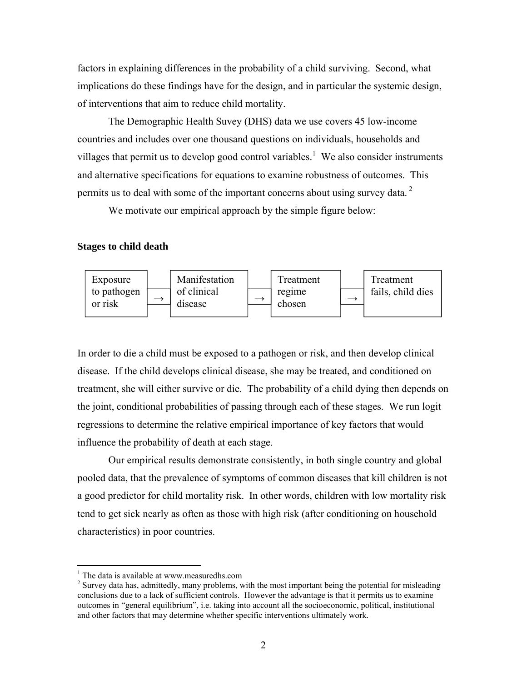factors in explaining differences in the probability of a child surviving. Second, what implications do these findings have for the design, and in particular the systemic design, of interventions that aim to reduce child mortality.

The Demographic Health Suvey (DHS) data we use covers 45 low-income countries and includes over one thousand questions on individuals, households and villages that permit us to develop good control variables.<sup>1</sup> We also consider instruments and alternative specifications for equations to examine robustness of outcomes. This permits us to deal with some of the important concerns about using survey data.<sup>2</sup>

We motivate our empirical approach by the simple figure below:

#### **Stages to child death**



In order to die a child must be exposed to a pathogen or risk, and then develop clinical disease. If the child develops clinical disease, she may be treated, and conditioned on treatment, she will either survive or die. The probability of a child dying then depends on the joint, conditional probabilities of passing through each of these stages. We run logit regressions to determine the relative empirical importance of key factors that would influence the probability of death at each stage.

Our empirical results demonstrate consistently, in both single country and global pooled data, that the prevalence of symptoms of common diseases that kill children is not a good predictor for child mortality risk. In other words, children with low mortality risk tend to get sick nearly as often as those with high risk (after conditioning on household characteristics) in poor countries.

<sup>&</sup>lt;sup>1</sup> The data is available at www.measuredhs.com

<sup>&</sup>lt;sup>2</sup> Survey data has, admittedly, many problems, with the most important being the potential for misleading conclusions due to a lack of sufficient controls. However the advantage is that it permits us to examine outcomes in "general equilibrium", i.e. taking into account all the socioeconomic, political, institutional and other factors that may determine whether specific interventions ultimately work.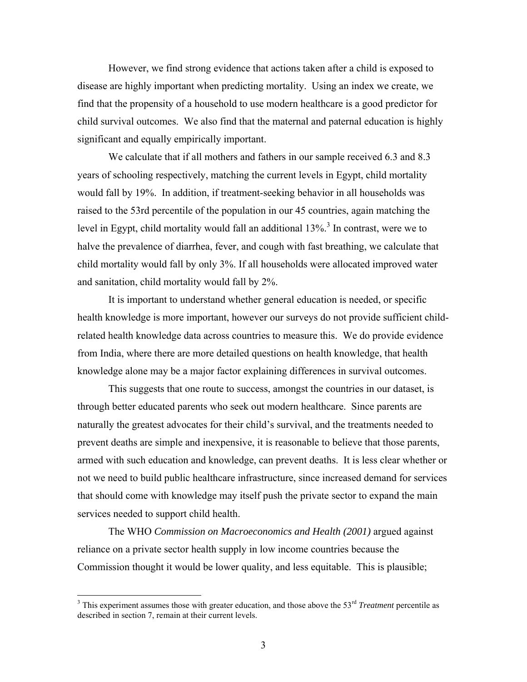However, we find strong evidence that actions taken after a child is exposed to disease are highly important when predicting mortality. Using an index we create, we find that the propensity of a household to use modern healthcare is a good predictor for child survival outcomes. We also find that the maternal and paternal education is highly significant and equally empirically important.

We calculate that if all mothers and fathers in our sample received 6.3 and 8.3 years of schooling respectively, matching the current levels in Egypt, child mortality would fall by 19%. In addition, if treatment-seeking behavior in all households was raised to the 53rd percentile of the population in our 45 countries, again matching the level in Egypt, child mortality would fall an additional  $13\%$ <sup>3</sup>. In contrast, were we to halve the prevalence of diarrhea, fever, and cough with fast breathing, we calculate that child mortality would fall by only 3%. If all households were allocated improved water and sanitation, child mortality would fall by 2%.

It is important to understand whether general education is needed, or specific health knowledge is more important, however our surveys do not provide sufficient childrelated health knowledge data across countries to measure this. We do provide evidence from India, where there are more detailed questions on health knowledge, that health knowledge alone may be a major factor explaining differences in survival outcomes.

This suggests that one route to success, amongst the countries in our dataset, is through better educated parents who seek out modern healthcare. Since parents are naturally the greatest advocates for their child's survival, and the treatments needed to prevent deaths are simple and inexpensive, it is reasonable to believe that those parents, armed with such education and knowledge, can prevent deaths. It is less clear whether or not we need to build public healthcare infrastructure, since increased demand for services that should come with knowledge may itself push the private sector to expand the main services needed to support child health.

The WHO *Commission on Macroeconomics and Health (2001)* argued against reliance on a private sector health supply in low income countries because the Commission thought it would be lower quality, and less equitable. This is plausible;

<sup>&</sup>lt;sup>3</sup> This experiment assumes those with greater education, and those above the 53<sup>rd</sup> *Treatment* percentile as described in section 7, remain at their current levels.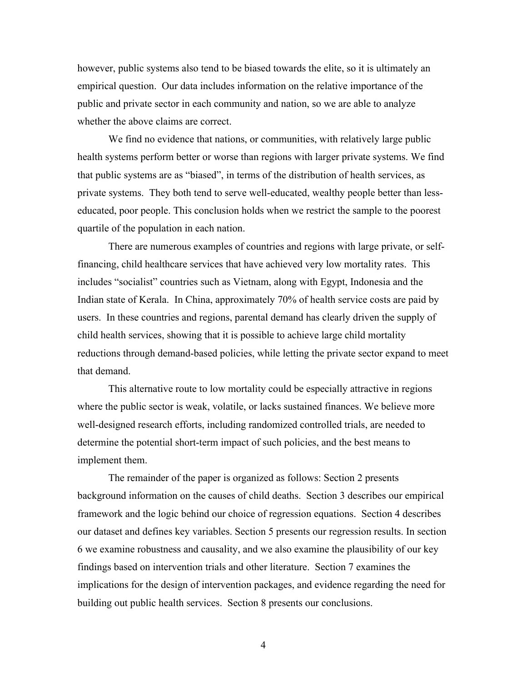however, public systems also tend to be biased towards the elite, so it is ultimately an empirical question. Our data includes information on the relative importance of the public and private sector in each community and nation, so we are able to analyze whether the above claims are correct.

We find no evidence that nations, or communities, with relatively large public health systems perform better or worse than regions with larger private systems. We find that public systems are as "biased", in terms of the distribution of health services, as private systems. They both tend to serve well-educated, wealthy people better than lesseducated, poor people. This conclusion holds when we restrict the sample to the poorest quartile of the population in each nation.

There are numerous examples of countries and regions with large private, or selffinancing, child healthcare services that have achieved very low mortality rates. This includes "socialist" countries such as Vietnam, along with Egypt, Indonesia and the Indian state of Kerala. In China, approximately 70% of health service costs are paid by users. In these countries and regions, parental demand has clearly driven the supply of child health services, showing that it is possible to achieve large child mortality reductions through demand-based policies, while letting the private sector expand to meet that demand.

This alternative route to low mortality could be especially attractive in regions where the public sector is weak, volatile, or lacks sustained finances. We believe more well-designed research efforts, including randomized controlled trials, are needed to determine the potential short-term impact of such policies, and the best means to implement them.

The remainder of the paper is organized as follows: Section 2 presents background information on the causes of child deaths. Section 3 describes our empirical framework and the logic behind our choice of regression equations. Section 4 describes our dataset and defines key variables. Section 5 presents our regression results. In section 6 we examine robustness and causality, and we also examine the plausibility of our key findings based on intervention trials and other literature. Section 7 examines the implications for the design of intervention packages, and evidence regarding the need for building out public health services. Section 8 presents our conclusions.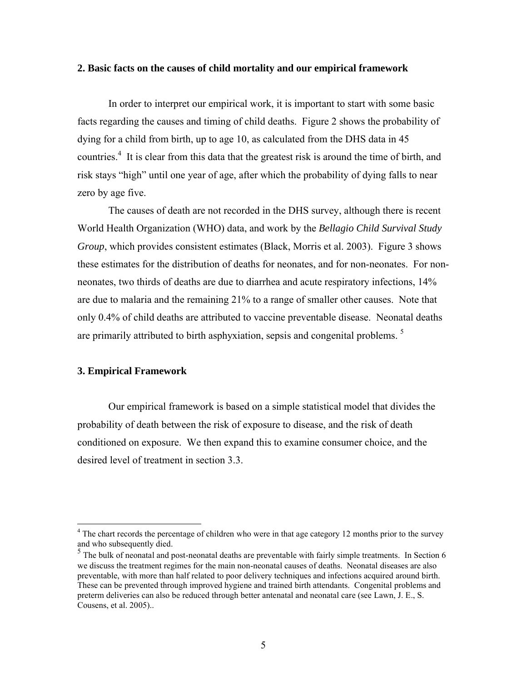#### **2. Basic facts on the causes of child mortality and our empirical framework**

In order to interpret our empirical work, it is important to start with some basic facts regarding the causes and timing of child deaths. Figure 2 shows the probability of dying for a child from birth, up to age 10, as calculated from the DHS data in 45 countries.<sup>4</sup> It is clear from this data that the greatest risk is around the time of birth, and risk stays "high" until one year of age, after which the probability of dying falls to near zero by age five.

The causes of death are not recorded in the DHS survey, although there is recent World Health Organization (WHO) data, and work by the *Bellagio Child Survival Study Group*, which provides consistent estimates (Black, Morris et al. 2003). Figure 3 shows these estimates for the distribution of deaths for neonates, and for non-neonates. For nonneonates, two thirds of deaths are due to diarrhea and acute respiratory infections, 14% are due to malaria and the remaining 21% to a range of smaller other causes. Note that only 0.4% of child deaths are attributed to vaccine preventable disease. Neonatal deaths are primarily attributed to birth asphyxiation, sepsis and congenital problems.<sup>5</sup>

#### **3. Empirical Framework**

 $\overline{a}$ 

Our empirical framework is based on a simple statistical model that divides the probability of death between the risk of exposure to disease, and the risk of death conditioned on exposure. We then expand this to examine consumer choice, and the desired level of treatment in section 3.3.

<sup>&</sup>lt;sup>4</sup> The chart records the percentage of children who were in that age category 12 months prior to the survey and who subsequently died.

<sup>&</sup>lt;sup>5</sup> The bulk of neonatal and post-neonatal deaths are preventable with fairly simple treatments. In Section 6 we discuss the treatment regimes for the main non-neonatal causes of deaths. Neonatal diseases are also preventable, with more than half related to poor delivery techniques and infections acquired around birth. These can be prevented through improved hygiene and trained birth attendants. Congenital problems and preterm deliveries can also be reduced through better antenatal and neonatal care (see Lawn, J. E., S. Cousens, et al. 2005)..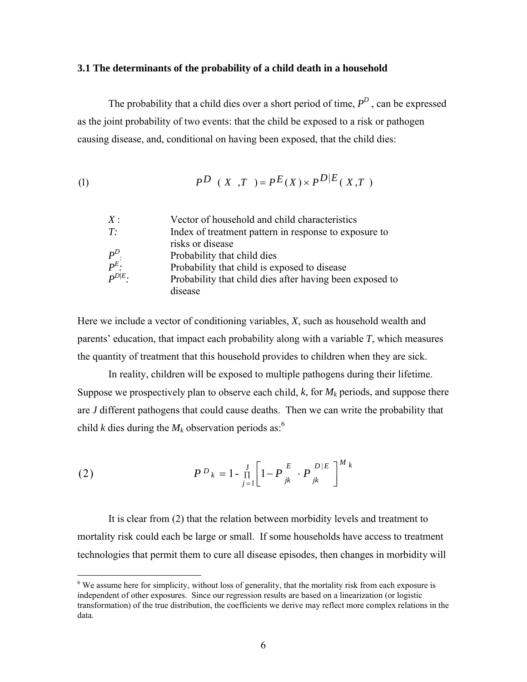#### **3.1 The determinants of the probability of a child death in a household**

The probability that a child dies over a short period of time,  $P<sup>D</sup>$ , can be expressed as the joint probability of two events: that the child be exposed to a risk or pathogen causing disease, and, conditional on having been exposed, that the child dies:

(1) 
$$
P^{D} (X,T) = P^{E}(X) \times P^{D|E}(X,T)
$$

| X:                | Vector of household and child characteristics            |
|-------------------|----------------------------------------------------------|
| T:                | Index of treatment pattern in response to exposure to    |
|                   | risks or disease                                         |
| $\frac{P^D}{P^E}$ | Probability that child dies                              |
|                   | Probability that child is exposed to disease             |
| $P^{D/E}$ .       | Probability that child dies after having been exposed to |
|                   | disease                                                  |

Here we include a vector of conditioning variables, *X*, such as household wealth and parents' education, that impact each probability along with a variable *T*, which measures the quantity of treatment that this household provides to children when they are sick.

In reality, children will be exposed to multiple pathogens during their lifetime. Suppose we prospectively plan to observe each child,  $k$ , for  $M_k$  periods, and suppose there are *J* different pathogens that could cause deaths. Then we can write the probability that child *k* dies during the  $M_k$  observation periods as:<sup>6</sup>

(2) 
$$
P^{D}{}_{k} = 1 - \prod_{j=1}^{J} \left[ 1 - P \frac{E}{jk} \cdot P \frac{D|E}{jk} \right]^{M}{}_{k}
$$

 $\overline{a}$ 

It is clear from (2) that the relation between morbidity levels and treatment to mortality risk could each be large or small. If some households have access to treatment technologies that permit them to cure all disease episodes, then changes in morbidity will

 $6$  We assume here for simplicity, without loss of generality, that the mortality risk from each exposure is independent of other exposures. Since our regression results are based on a linearization (or logistic transformation) of the true distribution, the coefficients we derive may reflect more complex relations in the data.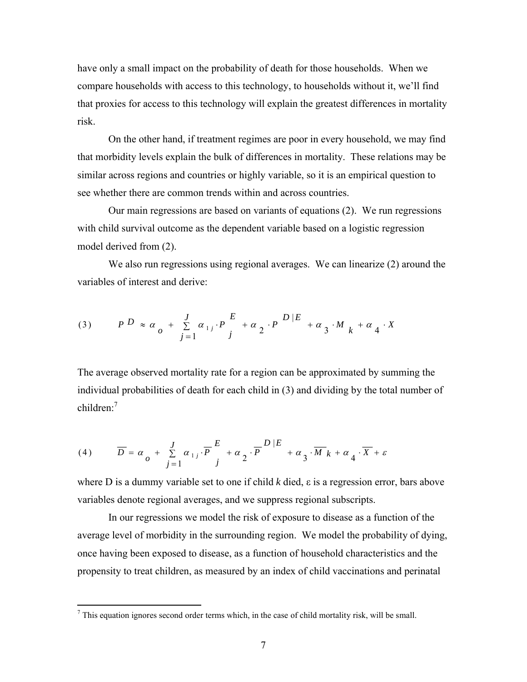have only a small impact on the probability of death for those households. When we compare households with access to this technology, to households without it, we'll find that proxies for access to this technology will explain the greatest differences in mortality risk.

On the other hand, if treatment regimes are poor in every household, we may find that morbidity levels explain the bulk of differences in mortality. These relations may be similar across regions and countries or highly variable, so it is an empirical question to see whether there are common trends within and across countries.

Our main regressions are based on variants of equations (2). We run regressions with child survival outcome as the dependent variable based on a logistic regression model derived from (2).

We also run regressions using regional averages. We can linearize (2) around the variables of interest and derive:

(3) 
$$
P D \approx \alpha_0 + \sum_{j=1}^{J} \alpha_{1j} P E + \alpha_2 P D | E + \alpha_3 M_k + \alpha_4 X
$$

The average observed mortality rate for a region can be approximated by summing the individual probabilities of death for each child in (3) and dividing by the total number of children $^{7}$ 

(4) 
$$
\overline{D} = \alpha_o + \sum_{j=1}^{J} \alpha_{1j} \cdot \overline{P} \frac{E}{j} + \alpha_2 \cdot \overline{P} \frac{D|E}{i} + \alpha_3 \cdot \overline{M} k + \alpha_4 \cdot \overline{X} + \varepsilon
$$

where D is a dummy variable set to one if child *k* died, ε is a regression error, bars above variables denote regional averages, and we suppress regional subscripts.

In our regressions we model the risk of exposure to disease as a function of the average level of morbidity in the surrounding region. We model the probability of dying, once having been exposed to disease, as a function of household characteristics and the propensity to treat children, as measured by an index of child vaccinations and perinatal

 $<sup>7</sup>$  This equation ignores second order terms which, in the case of child mortality risk, will be small.</sup>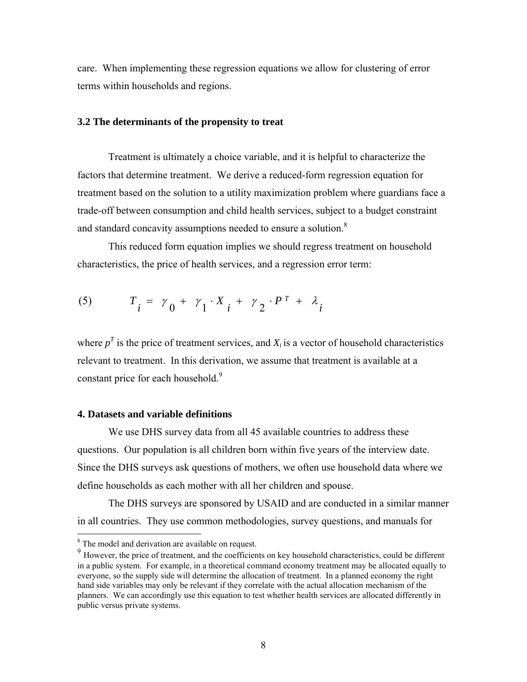care. When implementing these regression equations we allow for clustering of error terms within households and regions.

#### **3.2 The determinants of the propensity to treat**

Treatment is ultimately a choice variable, and it is helpful to characterize the factors that determine treatment. We derive a reduced-form regression equation for treatment based on the solution to a utility maximization problem where guardians face a trade-off between consumption and child health services, subject to a budget constraint and standard concavity assumptions needed to ensure a solution. $8$ 

This reduced form equation implies we should regress treatment on household characteristics, the price of health services, and a regression error term:

$$
(5) \qquad T_i = \gamma_0 + \gamma_1 \cdot X_i + \gamma_2 \cdot P^T + \lambda_i
$$

where  $p<sup>T</sup>$  is the price of treatment services, and  $X<sub>i</sub>$  is a vector of household characteristics relevant to treatment. In this derivation, we assume that treatment is available at a constant price for each household.<sup>9</sup>

#### **4. Datasets and variable definitions**

We use DHS survey data from all 45 available countries to address these questions. Our population is all children born within five years of the interview date. Since the DHS surveys ask questions of mothers, we often use household data where we define households as each mother with all her children and spouse.

The DHS surveys are sponsored by USAID and are conducted in a similar manner in all countries. They use common methodologies, survey questions, and manuals for

<sup>&</sup>lt;sup>8</sup> The model and derivation are available on request.

<sup>&</sup>lt;sup>9</sup> However, the price of treatment, and the coefficients on key household characteristics, could be different in a public system. For example, in a theoretical command economy treatment may be allocated equally to everyone, so the supply side will determine the allocation of treatment. In a planned economy the right hand side variables may only be relevant if they correlate with the actual allocation mechanism of the planners. We can accordingly use this equation to test whether health services are allocated differently in public versus private systems.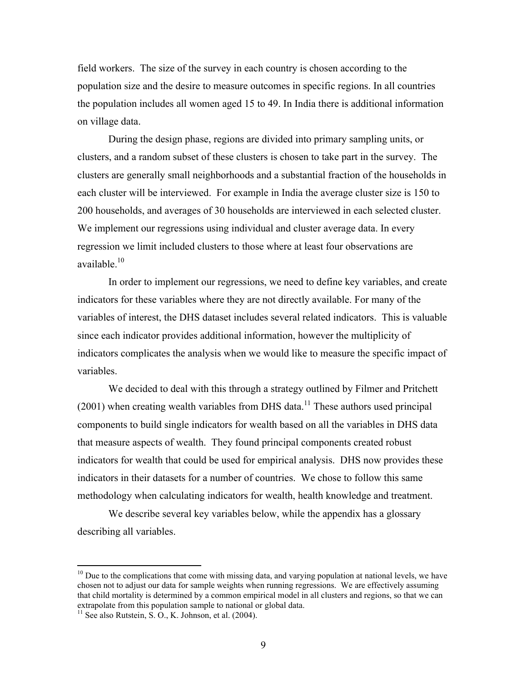field workers. The size of the survey in each country is chosen according to the population size and the desire to measure outcomes in specific regions. In all countries the population includes all women aged 15 to 49. In India there is additional information on village data.

During the design phase, regions are divided into primary sampling units, or clusters, and a random subset of these clusters is chosen to take part in the survey. The clusters are generally small neighborhoods and a substantial fraction of the households in each cluster will be interviewed. For example in India the average cluster size is 150 to 200 households, and averages of 30 households are interviewed in each selected cluster. We implement our regressions using individual and cluster average data. In every regression we limit included clusters to those where at least four observations are available $^{10}$ .

In order to implement our regressions, we need to define key variables, and create indicators for these variables where they are not directly available. For many of the variables of interest, the DHS dataset includes several related indicators. This is valuable since each indicator provides additional information, however the multiplicity of indicators complicates the analysis when we would like to measure the specific impact of variables.

We decided to deal with this through a strategy outlined by Filmer and Pritchett  $(2001)$  when creating wealth variables from DHS data.<sup>11</sup> These authors used principal components to build single indicators for wealth based on all the variables in DHS data that measure aspects of wealth. They found principal components created robust indicators for wealth that could be used for empirical analysis. DHS now provides these indicators in their datasets for a number of countries. We chose to follow this same methodology when calculating indicators for wealth, health knowledge and treatment.

We describe several key variables below, while the appendix has a glossary describing all variables.

 $10$  Due to the complications that come with missing data, and varying population at national levels, we have chosen not to adjust our data for sample weights when running regressions. We are effectively assuming that child mortality is determined by a common empirical model in all clusters and regions, so that we can extrapolate from this population sample to national or global data.

 $11$  See also Rutstein, S. O., K. Johnson, et al. (2004).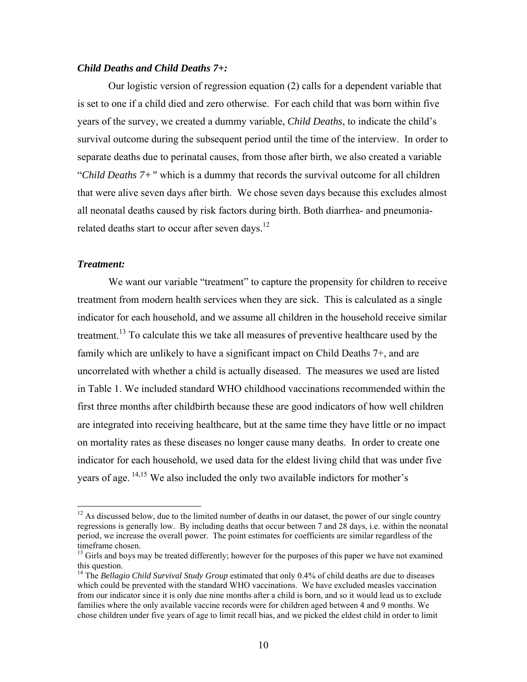#### *Child Deaths and Child Deaths 7+:*

Our logistic version of regression equation (2) calls for a dependent variable that is set to one if a child died and zero otherwise. For each child that was born within five years of the survey, we created a dummy variable, *Child Deaths*, to indicate the child's survival outcome during the subsequent period until the time of the interview. In order to separate deaths due to perinatal causes, from those after birth, we also created a variable "*Child Deaths 7+"* which is a dummy that records the survival outcome for all children that were alive seven days after birth. We chose seven days because this excludes almost all neonatal deaths caused by risk factors during birth. Both diarrhea- and pneumoniarelated deaths start to occur after seven days.<sup>12</sup>

#### *Treatment:*

1

We want our variable "treatment" to capture the propensity for children to receive treatment from modern health services when they are sick. This is calculated as a single indicator for each household, and we assume all children in the household receive similar treatment.<sup>13</sup> To calculate this we take all measures of preventive healthcare used by the family which are unlikely to have a significant impact on Child Deaths 7+, and are uncorrelated with whether a child is actually diseased. The measures we used are listed in Table 1. We included standard WHO childhood vaccinations recommended within the first three months after childbirth because these are good indicators of how well children are integrated into receiving healthcare, but at the same time they have little or no impact on mortality rates as these diseases no longer cause many deaths. In order to create one indicator for each household, we used data for the eldest living child that was under five years of age. 14,15 We also included the only two available indictors for mother's

 $12$  As discussed below, due to the limited number of deaths in our dataset, the power of our single country regressions is generally low. By including deaths that occur between 7 and 28 days, i.e. within the neonatal period, we increase the overall power. The point estimates for coefficients are similar regardless of the timeframe chosen.

 $<sup>13</sup>$  Girls and boys may be treated differently; however for the purposes of this paper we have not examined</sup> this question.

<sup>&</sup>lt;sup>14</sup> The *Bellagio Child Survival Study Group* estimated that only 0.4% of child deaths are due to diseases which could be prevented with the standard WHO vaccinations. We have excluded measles vaccination from our indicator since it is only due nine months after a child is born, and so it would lead us to exclude families where the only available vaccine records were for children aged between 4 and 9 months. We chose children under five years of age to limit recall bias, and we picked the eldest child in order to limit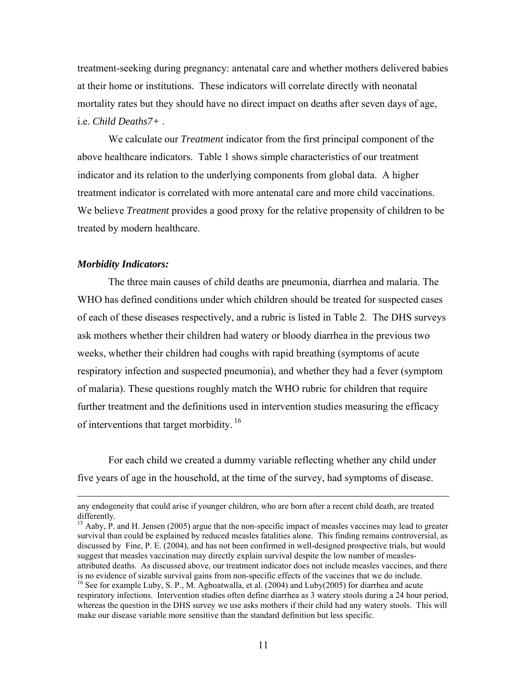treatment-seeking during pregnancy: antenatal care and whether mothers delivered babies at their home or institutions. These indicators will correlate directly with neonatal mortality rates but they should have no direct impact on deaths after seven days of age, i.e. *Child Deaths7+* .

We calculate our *Treatment* indicator from the first principal component of the above healthcare indicators. Table 1 shows simple characteristics of our treatment indicator and its relation to the underlying components from global data. A higher treatment indicator is correlated with more antenatal care and more child vaccinations. We believe *Treatment* provides a good proxy for the relative propensity of children to be treated by modern healthcare.

#### *Morbidity Indicators:*

 $\overline{a}$ 

The three main causes of child deaths are pneumonia, diarrhea and malaria. The WHO has defined conditions under which children should be treated for suspected cases of each of these diseases respectively, and a rubric is listed in Table 2. The DHS surveys ask mothers whether their children had watery or bloody diarrhea in the previous two weeks, whether their children had coughs with rapid breathing (symptoms of acute respiratory infection and suspected pneumonia), and whether they had a fever (symptom of malaria). These questions roughly match the WHO rubric for children that require further treatment and the definitions used in intervention studies measuring the efficacy of interventions that target morbidity.<sup>16</sup>

For each child we created a dummy variable reflecting whether any child under five years of age in the household, at the time of the survey, had symptoms of disease.

any endogeneity that could arise if younger children, who are born after a recent child death, are treated differently.

<sup>&</sup>lt;sup>15</sup> Aaby, P. and H. Jensen (2005) argue that the non-specific impact of measles vaccines may lead to greater survival than could be explained by reduced measles fatalities alone. This finding remains controversial, as discussed by Fine, P. E. (2004), and has not been confirmed in well-designed prospective trials, but would suggest that measles vaccination may directly explain survival despite the low number of measlesattributed deaths. As discussed above, our treatment indicator does not include measles vaccines, and there is no evidence of sizable survival gains from non-specific effects of the vaccines that we do include.

<sup>&</sup>lt;sup>16</sup> See for example Luby, S. P., M. Agboatwalla, et al. (2004) and Luby(2005) for diarrhea and acute respiratory infections. Intervention studies often define diarrhea as 3 watery stools during a 24 hour period, whereas the question in the DHS survey we use asks mothers if their child had any watery stools. This will make our disease variable more sensitive than the standard definition but less specific.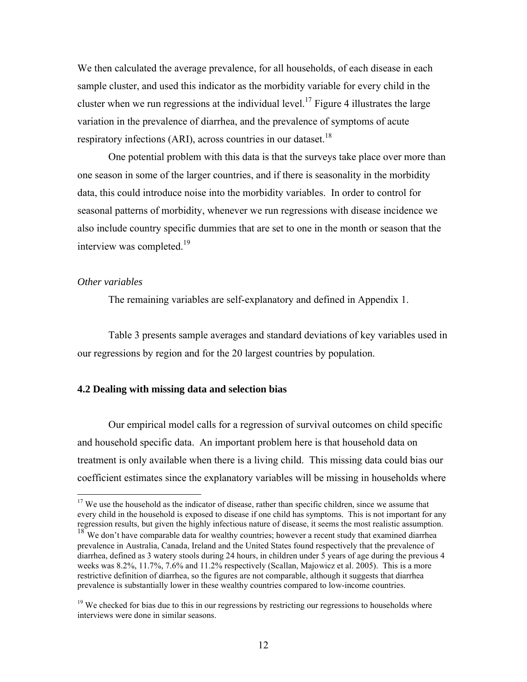We then calculated the average prevalence, for all households, of each disease in each sample cluster, and used this indicator as the morbidity variable for every child in the cluster when we run regressions at the individual level.<sup>17</sup> Figure 4 illustrates the large variation in the prevalence of diarrhea, and the prevalence of symptoms of acute respiratory infections (ARI), across countries in our dataset.<sup>18</sup>

One potential problem with this data is that the surveys take place over more than one season in some of the larger countries, and if there is seasonality in the morbidity data, this could introduce noise into the morbidity variables. In order to control for seasonal patterns of morbidity, whenever we run regressions with disease incidence we also include country specific dummies that are set to one in the month or season that the interview was completed.<sup>19</sup>

#### *Other variables*

 $\overline{a}$ 

The remaining variables are self-explanatory and defined in Appendix 1.

Table 3 presents sample averages and standard deviations of key variables used in our regressions by region and for the 20 largest countries by population.

#### **4.2 Dealing with missing data and selection bias**

Our empirical model calls for a regression of survival outcomes on child specific and household specific data. An important problem here is that household data on treatment is only available when there is a living child. This missing data could bias our coefficient estimates since the explanatory variables will be missing in households where

 $17$  We use the household as the indicator of disease, rather than specific children, since we assume that every child in the household is exposed to disease if one child has symptoms. This is not important for any regression results, but given the highly infectious nature of disease, it seems the most realistic assumption. <sup>18</sup> We don't have comparable data for wealthy countries; however a recent study that examined diarrhea

prevalence in Australia, Canada, Ireland and the United States found respectively that the prevalence of diarrhea, defined as 3 watery stools during 24 hours, in children under 5 years of age during the previous 4 weeks was 8.2%, 11.7%, 7.6% and 11.2% respectively (Scallan, Majowicz et al. 2005). This is a more restrictive definition of diarrhea, so the figures are not comparable, although it suggests that diarrhea prevalence is substantially lower in these wealthy countries compared to low-income countries.

 $19$  We checked for bias due to this in our regressions by restricting our regressions to households where interviews were done in similar seasons.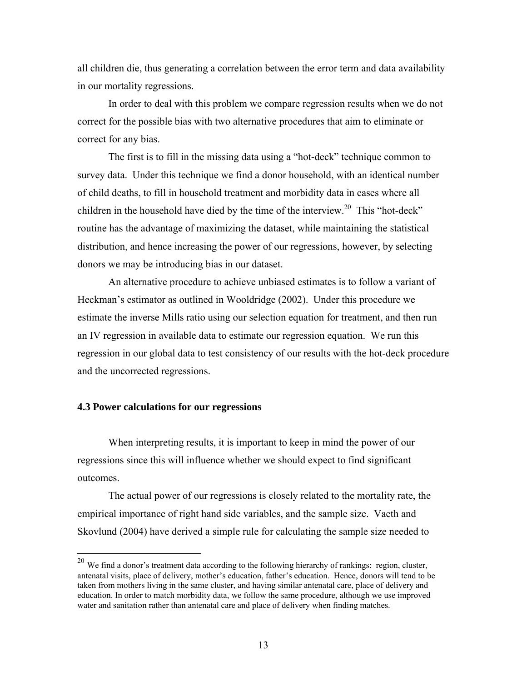all children die, thus generating a correlation between the error term and data availability in our mortality regressions.

In order to deal with this problem we compare regression results when we do not correct for the possible bias with two alternative procedures that aim to eliminate or correct for any bias.

The first is to fill in the missing data using a "hot-deck" technique common to survey data. Under this technique we find a donor household, with an identical number of child deaths, to fill in household treatment and morbidity data in cases where all children in the household have died by the time of the interview.<sup>20</sup> This "hot-deck" routine has the advantage of maximizing the dataset, while maintaining the statistical distribution, and hence increasing the power of our regressions, however, by selecting donors we may be introducing bias in our dataset.

An alternative procedure to achieve unbiased estimates is to follow a variant of Heckman's estimator as outlined in Wooldridge (2002). Under this procedure we estimate the inverse Mills ratio using our selection equation for treatment, and then run an IV regression in available data to estimate our regression equation. We run this regression in our global data to test consistency of our results with the hot-deck procedure and the uncorrected regressions.

#### **4.3 Power calculations for our regressions**

 $\overline{a}$ 

When interpreting results, it is important to keep in mind the power of our regressions since this will influence whether we should expect to find significant outcomes.

The actual power of our regressions is closely related to the mortality rate, the empirical importance of right hand side variables, and the sample size. Vaeth and Skovlund (2004) have derived a simple rule for calculating the sample size needed to

 $^{20}$  We find a donor's treatment data according to the following hierarchy of rankings: region, cluster, antenatal visits, place of delivery, mother's education, father's education. Hence, donors will tend to be taken from mothers living in the same cluster, and having similar antenatal care, place of delivery and education. In order to match morbidity data, we follow the same procedure, although we use improved water and sanitation rather than antenatal care and place of delivery when finding matches.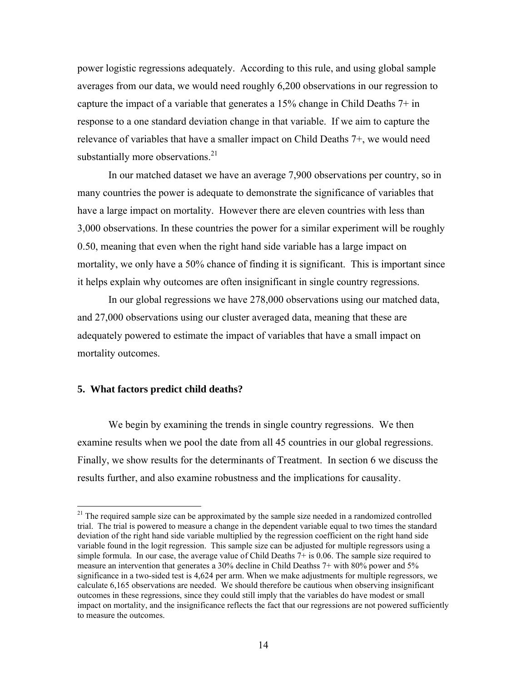power logistic regressions adequately. According to this rule, and using global sample averages from our data, we would need roughly 6,200 observations in our regression to capture the impact of a variable that generates a 15% change in Child Deaths 7+ in response to a one standard deviation change in that variable. If we aim to capture the relevance of variables that have a smaller impact on Child Deaths 7+, we would need substantially more observations. $21$ 

In our matched dataset we have an average 7,900 observations per country, so in many countries the power is adequate to demonstrate the significance of variables that have a large impact on mortality. However there are eleven countries with less than 3,000 observations. In these countries the power for a similar experiment will be roughly 0.50, meaning that even when the right hand side variable has a large impact on mortality, we only have a 50% chance of finding it is significant. This is important since it helps explain why outcomes are often insignificant in single country regressions.

In our global regressions we have 278,000 observations using our matched data, and 27,000 observations using our cluster averaged data, meaning that these are adequately powered to estimate the impact of variables that have a small impact on mortality outcomes.

#### **5. What factors predict child deaths?**

 $\overline{a}$ 

We begin by examining the trends in single country regressions. We then examine results when we pool the date from all 45 countries in our global regressions. Finally, we show results for the determinants of Treatment. In section 6 we discuss the results further, and also examine robustness and the implications for causality.

 $21$  The required sample size can be approximated by the sample size needed in a randomized controlled trial. The trial is powered to measure a change in the dependent variable equal to two times the standard deviation of the right hand side variable multiplied by the regression coefficient on the right hand side variable found in the logit regression. This sample size can be adjusted for multiple regressors using a simple formula. In our case, the average value of Child Deaths 7+ is 0.06. The sample size required to measure an intervention that generates a 30% decline in Child Deathss 7+ with 80% power and 5% significance in a two-sided test is 4,624 per arm. When we make adjustments for multiple regressors, we calculate 6,165 observations are needed. We should therefore be cautious when observing insignificant outcomes in these regressions, since they could still imply that the variables do have modest or small impact on mortality, and the insignificance reflects the fact that our regressions are not powered sufficiently to measure the outcomes.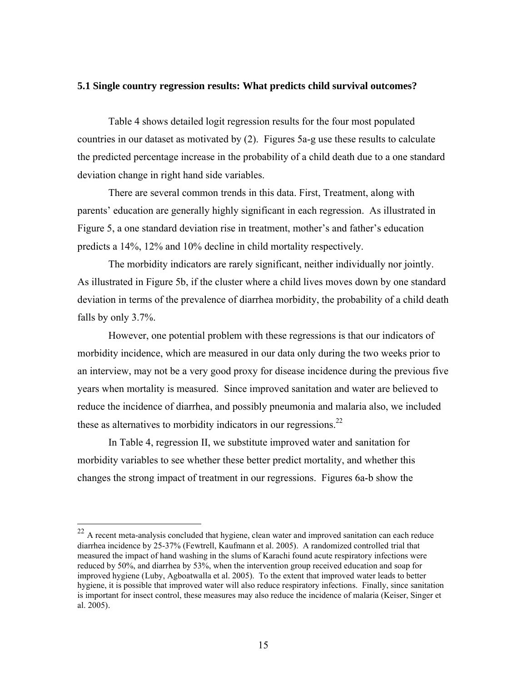#### **5.1 Single country regression results: What predicts child survival outcomes?**

Table 4 shows detailed logit regression results for the four most populated countries in our dataset as motivated by (2). Figures 5a-g use these results to calculate the predicted percentage increase in the probability of a child death due to a one standard deviation change in right hand side variables.

There are several common trends in this data. First, Treatment, along with parents' education are generally highly significant in each regression. As illustrated in Figure 5, a one standard deviation rise in treatment, mother's and father's education predicts a 14%, 12% and 10% decline in child mortality respectively.

The morbidity indicators are rarely significant, neither individually nor jointly. As illustrated in Figure 5b, if the cluster where a child lives moves down by one standard deviation in terms of the prevalence of diarrhea morbidity, the probability of a child death falls by only 3.7%.

However, one potential problem with these regressions is that our indicators of morbidity incidence, which are measured in our data only during the two weeks prior to an interview, may not be a very good proxy for disease incidence during the previous five years when mortality is measured. Since improved sanitation and water are believed to reduce the incidence of diarrhea, and possibly pneumonia and malaria also, we included these as alternatives to morbidity indicators in our regressions.<sup>22</sup>

In Table 4, regression II, we substitute improved water and sanitation for morbidity variables to see whether these better predict mortality, and whether this changes the strong impact of treatment in our regressions. Figures 6a-b show the

 $22$  A recent meta-analysis concluded that hygiene, clean water and improved sanitation can each reduce diarrhea incidence by 25-37% (Fewtrell, Kaufmann et al. 2005). A randomized controlled trial that measured the impact of hand washing in the slums of Karachi found acute respiratory infections were reduced by 50%, and diarrhea by 53%, when the intervention group received education and soap for improved hygiene (Luby, Agboatwalla et al. 2005). To the extent that improved water leads to better hygiene, it is possible that improved water will also reduce respiratory infections. Finally, since sanitation is important for insect control, these measures may also reduce the incidence of malaria (Keiser, Singer et al. 2005).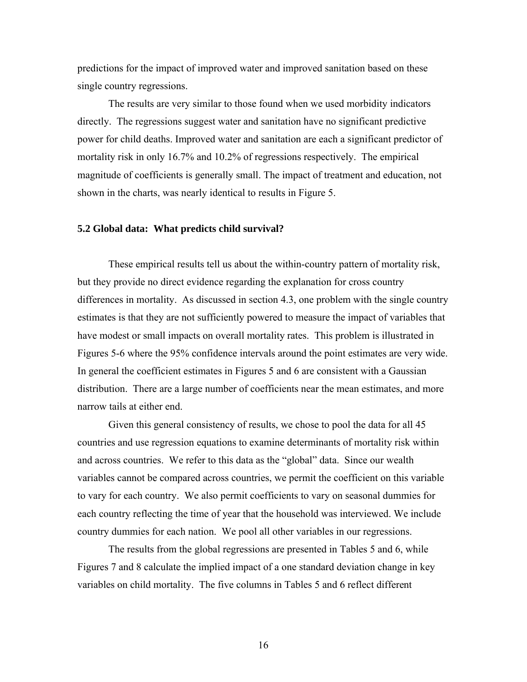predictions for the impact of improved water and improved sanitation based on these single country regressions.

The results are very similar to those found when we used morbidity indicators directly. The regressions suggest water and sanitation have no significant predictive power for child deaths. Improved water and sanitation are each a significant predictor of mortality risk in only 16.7% and 10.2% of regressions respectively. The empirical magnitude of coefficients is generally small. The impact of treatment and education, not shown in the charts, was nearly identical to results in Figure 5.

#### **5.2 Global data: What predicts child survival?**

These empirical results tell us about the within-country pattern of mortality risk, but they provide no direct evidence regarding the explanation for cross country differences in mortality. As discussed in section 4.3, one problem with the single country estimates is that they are not sufficiently powered to measure the impact of variables that have modest or small impacts on overall mortality rates. This problem is illustrated in Figures 5-6 where the 95% confidence intervals around the point estimates are very wide. In general the coefficient estimates in Figures 5 and 6 are consistent with a Gaussian distribution. There are a large number of coefficients near the mean estimates, and more narrow tails at either end.

Given this general consistency of results, we chose to pool the data for all 45 countries and use regression equations to examine determinants of mortality risk within and across countries. We refer to this data as the "global" data. Since our wealth variables cannot be compared across countries, we permit the coefficient on this variable to vary for each country. We also permit coefficients to vary on seasonal dummies for each country reflecting the time of year that the household was interviewed. We include country dummies for each nation. We pool all other variables in our regressions.

The results from the global regressions are presented in Tables 5 and 6, while Figures 7 and 8 calculate the implied impact of a one standard deviation change in key variables on child mortality. The five columns in Tables 5 and 6 reflect different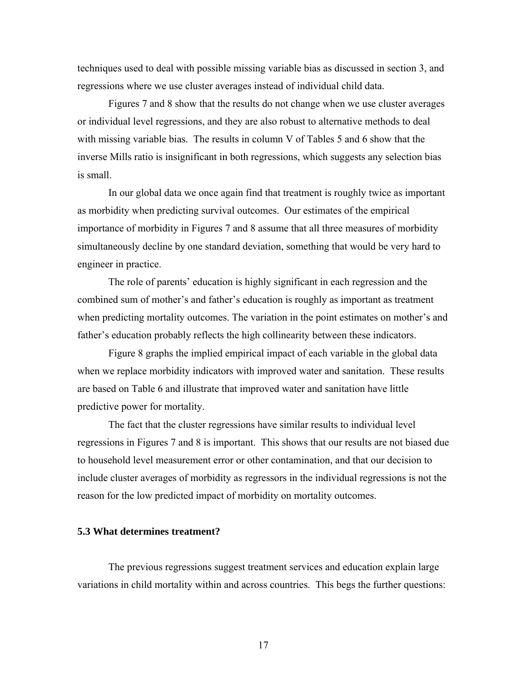techniques used to deal with possible missing variable bias as discussed in section 3, and regressions where we use cluster averages instead of individual child data.

Figures 7 and 8 show that the results do not change when we use cluster averages or individual level regressions, and they are also robust to alternative methods to deal with missing variable bias. The results in column V of Tables 5 and 6 show that the inverse Mills ratio is insignificant in both regressions, which suggests any selection bias is small.

In our global data we once again find that treatment is roughly twice as important as morbidity when predicting survival outcomes. Our estimates of the empirical importance of morbidity in Figures 7 and 8 assume that all three measures of morbidity simultaneously decline by one standard deviation, something that would be very hard to engineer in practice.

The role of parents' education is highly significant in each regression and the combined sum of mother's and father's education is roughly as important as treatment when predicting mortality outcomes. The variation in the point estimates on mother's and father's education probably reflects the high collinearity between these indicators.

Figure 8 graphs the implied empirical impact of each variable in the global data when we replace morbidity indicators with improved water and sanitation. These results are based on Table 6 and illustrate that improved water and sanitation have little predictive power for mortality.

The fact that the cluster regressions have similar results to individual level regressions in Figures 7 and 8 is important. This shows that our results are not biased due to household level measurement error or other contamination, and that our decision to include cluster averages of morbidity as regressors in the individual regressions is not the reason for the low predicted impact of morbidity on mortality outcomes.

#### **5.3 What determines treatment?**

The previous regressions suggest treatment services and education explain large variations in child mortality within and across countries. This begs the further questions: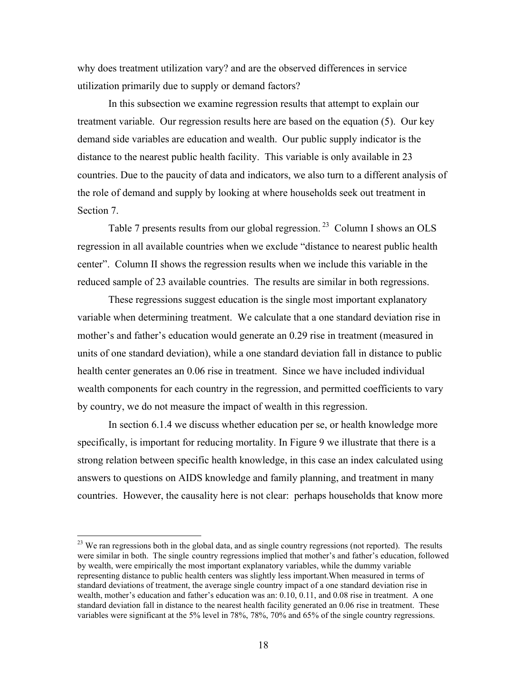why does treatment utilization vary? and are the observed differences in service utilization primarily due to supply or demand factors?

In this subsection we examine regression results that attempt to explain our treatment variable. Our regression results here are based on the equation (5). Our key demand side variables are education and wealth. Our public supply indicator is the distance to the nearest public health facility. This variable is only available in 23 countries. Due to the paucity of data and indicators, we also turn to a different analysis of the role of demand and supply by looking at where households seek out treatment in Section 7.

Table 7 presents results from our global regression.<sup>23</sup> Column I shows an OLS regression in all available countries when we exclude "distance to nearest public health center". Column II shows the regression results when we include this variable in the reduced sample of 23 available countries. The results are similar in both regressions.

These regressions suggest education is the single most important explanatory variable when determining treatment. We calculate that a one standard deviation rise in mother's and father's education would generate an 0.29 rise in treatment (measured in units of one standard deviation), while a one standard deviation fall in distance to public health center generates an 0.06 rise in treatment. Since we have included individual wealth components for each country in the regression, and permitted coefficients to vary by country, we do not measure the impact of wealth in this regression.

In section 6.1.4 we discuss whether education per se, or health knowledge more specifically, is important for reducing mortality. In Figure 9 we illustrate that there is a strong relation between specific health knowledge, in this case an index calculated using answers to questions on AIDS knowledge and family planning, and treatment in many countries. However, the causality here is not clear: perhaps households that know more

<sup>&</sup>lt;sup>23</sup> We ran regressions both in the global data, and as single country regressions (not reported). The results were similar in both. The single country regressions implied that mother's and father's education, followed by wealth, were empirically the most important explanatory variables, while the dummy variable representing distance to public health centers was slightly less important.When measured in terms of standard deviations of treatment, the average single country impact of a one standard deviation rise in wealth, mother's education and father's education was an: 0.10, 0.11, and 0.08 rise in treatment. A one standard deviation fall in distance to the nearest health facility generated an 0.06 rise in treatment. These variables were significant at the 5% level in 78%, 78%, 70% and 65% of the single country regressions.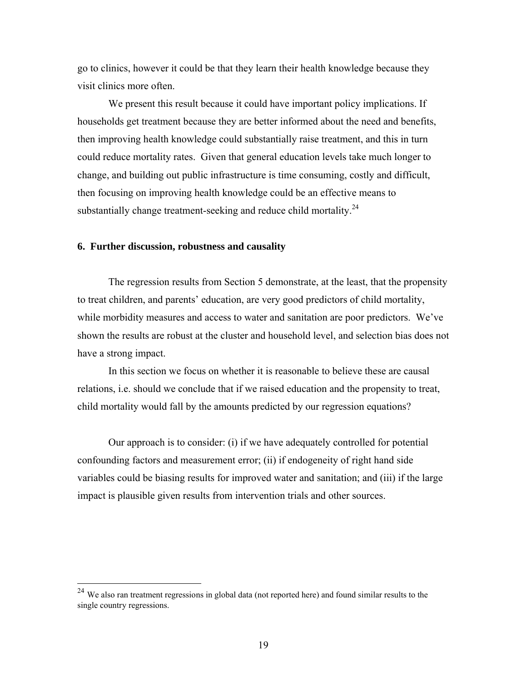go to clinics, however it could be that they learn their health knowledge because they visit clinics more often.

We present this result because it could have important policy implications. If households get treatment because they are better informed about the need and benefits, then improving health knowledge could substantially raise treatment, and this in turn could reduce mortality rates. Given that general education levels take much longer to change, and building out public infrastructure is time consuming, costly and difficult, then focusing on improving health knowledge could be an effective means to substantially change treatment-seeking and reduce child mortality.<sup>24</sup>

#### **6. Further discussion, robustness and causality**

 $\overline{a}$ 

The regression results from Section 5 demonstrate, at the least, that the propensity to treat children, and parents' education, are very good predictors of child mortality, while morbidity measures and access to water and sanitation are poor predictors. We've shown the results are robust at the cluster and household level, and selection bias does not have a strong impact.

In this section we focus on whether it is reasonable to believe these are causal relations, i.e. should we conclude that if we raised education and the propensity to treat, child mortality would fall by the amounts predicted by our regression equations?

Our approach is to consider: (i) if we have adequately controlled for potential confounding factors and measurement error; (ii) if endogeneity of right hand side variables could be biasing results for improved water and sanitation; and (iii) if the large impact is plausible given results from intervention trials and other sources.

 $24$  We also ran treatment regressions in global data (not reported here) and found similar results to the single country regressions.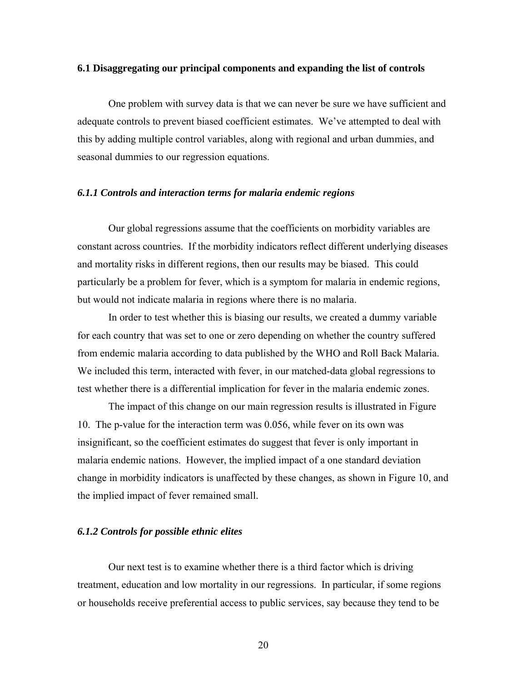#### **6.1 Disaggregating our principal components and expanding the list of controls**

One problem with survey data is that we can never be sure we have sufficient and adequate controls to prevent biased coefficient estimates. We've attempted to deal with this by adding multiple control variables, along with regional and urban dummies, and seasonal dummies to our regression equations.

#### *6.1.1 Controls and interaction terms for malaria endemic regions*

Our global regressions assume that the coefficients on morbidity variables are constant across countries. If the morbidity indicators reflect different underlying diseases and mortality risks in different regions, then our results may be biased. This could particularly be a problem for fever, which is a symptom for malaria in endemic regions, but would not indicate malaria in regions where there is no malaria.

In order to test whether this is biasing our results, we created a dummy variable for each country that was set to one or zero depending on whether the country suffered from endemic malaria according to data published by the WHO and Roll Back Malaria. We included this term, interacted with fever, in our matched-data global regressions to test whether there is a differential implication for fever in the malaria endemic zones.

The impact of this change on our main regression results is illustrated in Figure 10. The p-value for the interaction term was 0.056, while fever on its own was insignificant, so the coefficient estimates do suggest that fever is only important in malaria endemic nations. However, the implied impact of a one standard deviation change in morbidity indicators is unaffected by these changes, as shown in Figure 10, and the implied impact of fever remained small.

#### *6.1.2 Controls for possible ethnic elites*

Our next test is to examine whether there is a third factor which is driving treatment, education and low mortality in our regressions. In particular, if some regions or households receive preferential access to public services, say because they tend to be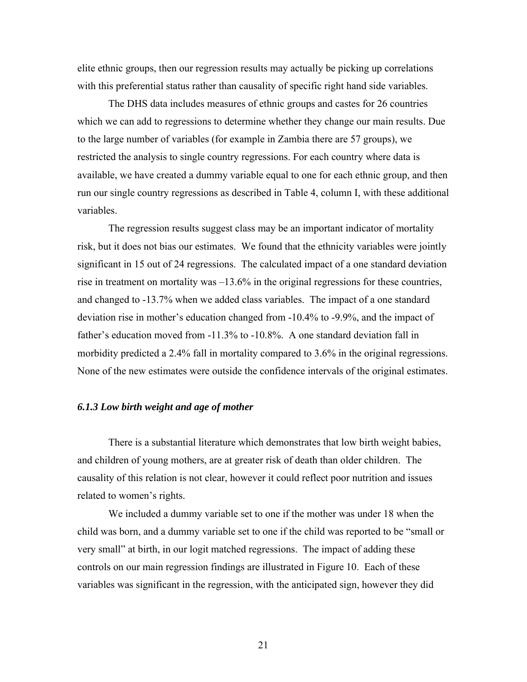elite ethnic groups, then our regression results may actually be picking up correlations with this preferential status rather than causality of specific right hand side variables.

The DHS data includes measures of ethnic groups and castes for 26 countries which we can add to regressions to determine whether they change our main results. Due to the large number of variables (for example in Zambia there are 57 groups), we restricted the analysis to single country regressions. For each country where data is available, we have created a dummy variable equal to one for each ethnic group, and then run our single country regressions as described in Table 4, column I, with these additional variables.

The regression results suggest class may be an important indicator of mortality risk, but it does not bias our estimates. We found that the ethnicity variables were jointly significant in 15 out of 24 regressions. The calculated impact of a one standard deviation rise in treatment on mortality was –13.6% in the original regressions for these countries, and changed to -13.7% when we added class variables. The impact of a one standard deviation rise in mother's education changed from -10.4% to -9.9%, and the impact of father's education moved from -11.3% to -10.8%. A one standard deviation fall in morbidity predicted a 2.4% fall in mortality compared to 3.6% in the original regressions. None of the new estimates were outside the confidence intervals of the original estimates.

#### *6.1.3 Low birth weight and age of mother*

There is a substantial literature which demonstrates that low birth weight babies, and children of young mothers, are at greater risk of death than older children. The causality of this relation is not clear, however it could reflect poor nutrition and issues related to women's rights.

We included a dummy variable set to one if the mother was under 18 when the child was born, and a dummy variable set to one if the child was reported to be "small or very small" at birth, in our logit matched regressions. The impact of adding these controls on our main regression findings are illustrated in Figure 10. Each of these variables was significant in the regression, with the anticipated sign, however they did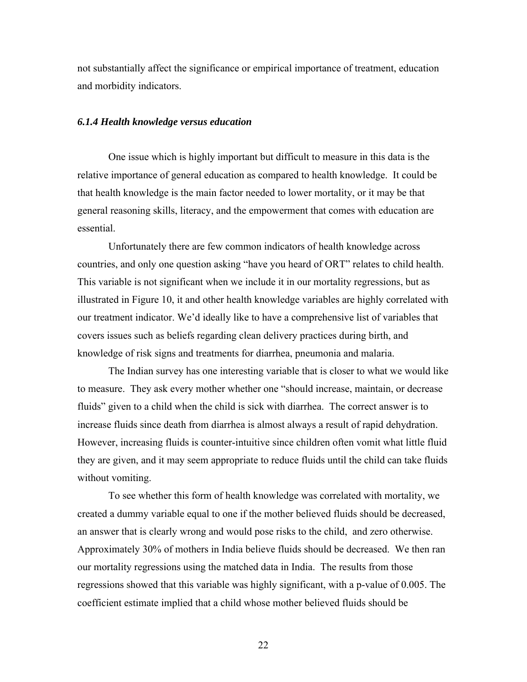not substantially affect the significance or empirical importance of treatment, education and morbidity indicators.

#### *6.1.4 Health knowledge versus education*

One issue which is highly important but difficult to measure in this data is the relative importance of general education as compared to health knowledge. It could be that health knowledge is the main factor needed to lower mortality, or it may be that general reasoning skills, literacy, and the empowerment that comes with education are essential.

Unfortunately there are few common indicators of health knowledge across countries, and only one question asking "have you heard of ORT" relates to child health. This variable is not significant when we include it in our mortality regressions, but as illustrated in Figure 10, it and other health knowledge variables are highly correlated with our treatment indicator. We'd ideally like to have a comprehensive list of variables that covers issues such as beliefs regarding clean delivery practices during birth, and knowledge of risk signs and treatments for diarrhea, pneumonia and malaria.

The Indian survey has one interesting variable that is closer to what we would like to measure. They ask every mother whether one "should increase, maintain, or decrease fluids" given to a child when the child is sick with diarrhea. The correct answer is to increase fluids since death from diarrhea is almost always a result of rapid dehydration. However, increasing fluids is counter-intuitive since children often vomit what little fluid they are given, and it may seem appropriate to reduce fluids until the child can take fluids without vomiting.

To see whether this form of health knowledge was correlated with mortality, we created a dummy variable equal to one if the mother believed fluids should be decreased, an answer that is clearly wrong and would pose risks to the child, and zero otherwise. Approximately 30% of mothers in India believe fluids should be decreased. We then ran our mortality regressions using the matched data in India. The results from those regressions showed that this variable was highly significant, with a p-value of 0.005. The coefficient estimate implied that a child whose mother believed fluids should be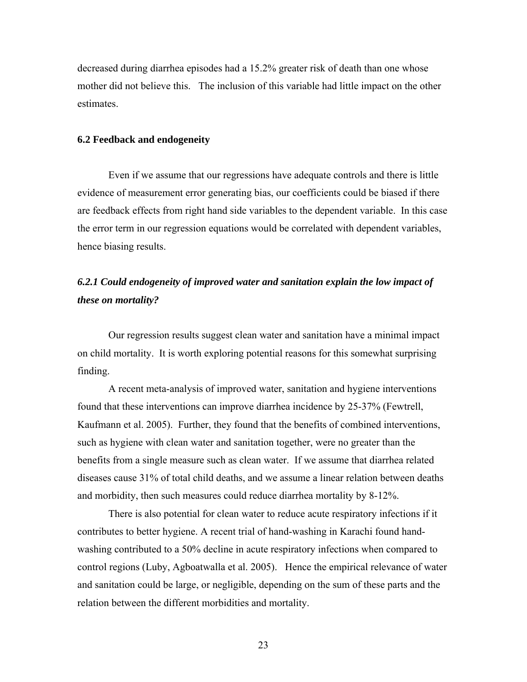decreased during diarrhea episodes had a 15.2% greater risk of death than one whose mother did not believe this. The inclusion of this variable had little impact on the other estimates.

#### **6.2 Feedback and endogeneity**

Even if we assume that our regressions have adequate controls and there is little evidence of measurement error generating bias, our coefficients could be biased if there are feedback effects from right hand side variables to the dependent variable. In this case the error term in our regression equations would be correlated with dependent variables, hence biasing results.

## *6.2.1 Could endogeneity of improved water and sanitation explain the low impact of these on mortality?*

Our regression results suggest clean water and sanitation have a minimal impact on child mortality. It is worth exploring potential reasons for this somewhat surprising finding.

A recent meta-analysis of improved water, sanitation and hygiene interventions found that these interventions can improve diarrhea incidence by 25-37% (Fewtrell, Kaufmann et al. 2005). Further, they found that the benefits of combined interventions, such as hygiene with clean water and sanitation together, were no greater than the benefits from a single measure such as clean water. If we assume that diarrhea related diseases cause 31% of total child deaths, and we assume a linear relation between deaths and morbidity, then such measures could reduce diarrhea mortality by 8-12%.

There is also potential for clean water to reduce acute respiratory infections if it contributes to better hygiene. A recent trial of hand-washing in Karachi found handwashing contributed to a 50% decline in acute respiratory infections when compared to control regions (Luby, Agboatwalla et al. 2005). Hence the empirical relevance of water and sanitation could be large, or negligible, depending on the sum of these parts and the relation between the different morbidities and mortality.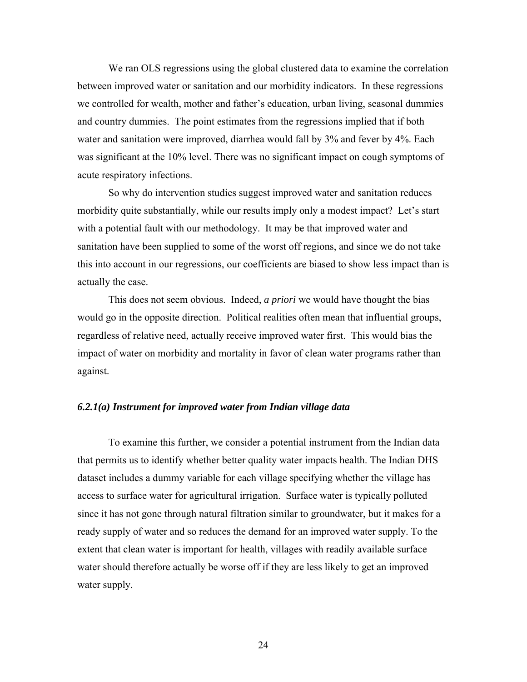We ran OLS regressions using the global clustered data to examine the correlation between improved water or sanitation and our morbidity indicators. In these regressions we controlled for wealth, mother and father's education, urban living, seasonal dummies and country dummies. The point estimates from the regressions implied that if both water and sanitation were improved, diarrhea would fall by 3% and fever by 4%. Each was significant at the 10% level. There was no significant impact on cough symptoms of acute respiratory infections.

So why do intervention studies suggest improved water and sanitation reduces morbidity quite substantially, while our results imply only a modest impact? Let's start with a potential fault with our methodology. It may be that improved water and sanitation have been supplied to some of the worst off regions, and since we do not take this into account in our regressions, our coefficients are biased to show less impact than is actually the case.

This does not seem obvious. Indeed, *a priori* we would have thought the bias would go in the opposite direction. Political realities often mean that influential groups, regardless of relative need, actually receive improved water first. This would bias the impact of water on morbidity and mortality in favor of clean water programs rather than against.

#### *6.2.1(a) Instrument for improved water from Indian village data*

To examine this further, we consider a potential instrument from the Indian data that permits us to identify whether better quality water impacts health. The Indian DHS dataset includes a dummy variable for each village specifying whether the village has access to surface water for agricultural irrigation. Surface water is typically polluted since it has not gone through natural filtration similar to groundwater, but it makes for a ready supply of water and so reduces the demand for an improved water supply. To the extent that clean water is important for health, villages with readily available surface water should therefore actually be worse off if they are less likely to get an improved water supply.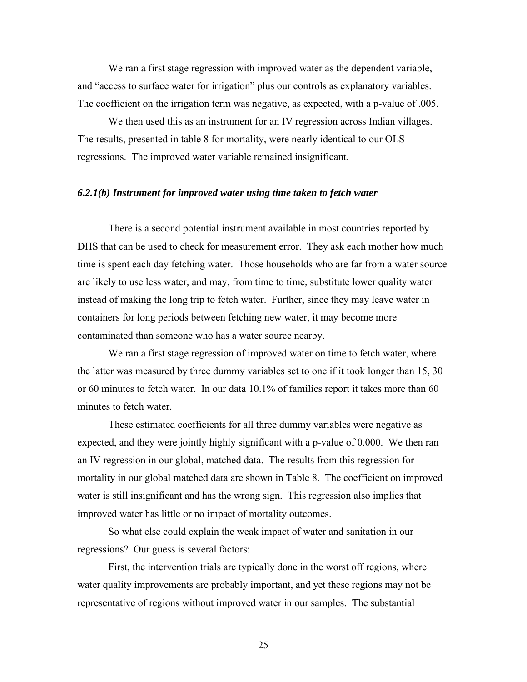We ran a first stage regression with improved water as the dependent variable, and "access to surface water for irrigation" plus our controls as explanatory variables. The coefficient on the irrigation term was negative, as expected, with a p-value of .005.

We then used this as an instrument for an IV regression across Indian villages. The results, presented in table 8 for mortality, were nearly identical to our OLS regressions. The improved water variable remained insignificant.

#### *6.2.1(b) Instrument for improved water using time taken to fetch water*

There is a second potential instrument available in most countries reported by DHS that can be used to check for measurement error. They ask each mother how much time is spent each day fetching water. Those households who are far from a water source are likely to use less water, and may, from time to time, substitute lower quality water instead of making the long trip to fetch water. Further, since they may leave water in containers for long periods between fetching new water, it may become more contaminated than someone who has a water source nearby.

We ran a first stage regression of improved water on time to fetch water, where the latter was measured by three dummy variables set to one if it took longer than 15, 30 or 60 minutes to fetch water. In our data 10.1% of families report it takes more than 60 minutes to fetch water.

These estimated coefficients for all three dummy variables were negative as expected, and they were jointly highly significant with a p-value of 0.000. We then ran an IV regression in our global, matched data. The results from this regression for mortality in our global matched data are shown in Table 8. The coefficient on improved water is still insignificant and has the wrong sign. This regression also implies that improved water has little or no impact of mortality outcomes.

So what else could explain the weak impact of water and sanitation in our regressions? Our guess is several factors:

First, the intervention trials are typically done in the worst off regions, where water quality improvements are probably important, and yet these regions may not be representative of regions without improved water in our samples. The substantial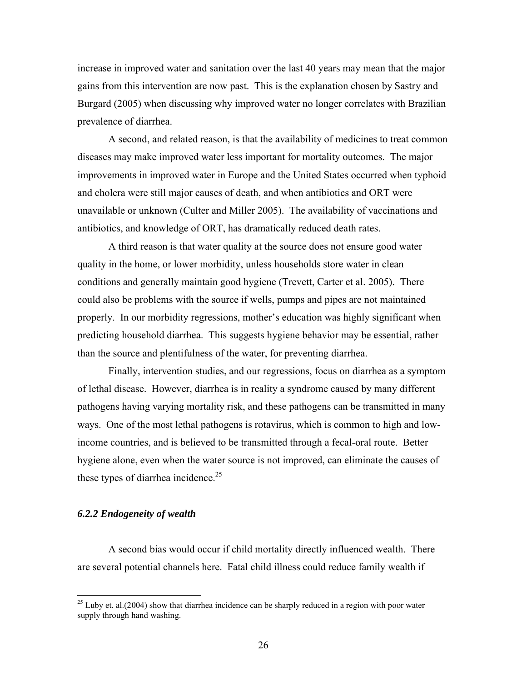increase in improved water and sanitation over the last 40 years may mean that the major gains from this intervention are now past. This is the explanation chosen by Sastry and Burgard (2005) when discussing why improved water no longer correlates with Brazilian prevalence of diarrhea.

A second, and related reason, is that the availability of medicines to treat common diseases may make improved water less important for mortality outcomes. The major improvements in improved water in Europe and the United States occurred when typhoid and cholera were still major causes of death, and when antibiotics and ORT were unavailable or unknown (Culter and Miller 2005). The availability of vaccinations and antibiotics, and knowledge of ORT, has dramatically reduced death rates.

A third reason is that water quality at the source does not ensure good water quality in the home, or lower morbidity, unless households store water in clean conditions and generally maintain good hygiene (Trevett, Carter et al. 2005). There could also be problems with the source if wells, pumps and pipes are not maintained properly. In our morbidity regressions, mother's education was highly significant when predicting household diarrhea. This suggests hygiene behavior may be essential, rather than the source and plentifulness of the water, for preventing diarrhea.

Finally, intervention studies, and our regressions, focus on diarrhea as a symptom of lethal disease. However, diarrhea is in reality a syndrome caused by many different pathogens having varying mortality risk, and these pathogens can be transmitted in many ways. One of the most lethal pathogens is rotavirus, which is common to high and lowincome countries, and is believed to be transmitted through a fecal-oral route. Better hygiene alone, even when the water source is not improved, can eliminate the causes of these types of diarrhea incidence.<sup>25</sup>

#### *6.2.2 Endogeneity of wealth*

 $\overline{a}$ 

A second bias would occur if child mortality directly influenced wealth. There are several potential channels here. Fatal child illness could reduce family wealth if

 $^{25}$  Luby et. al.(2004) show that diarrhea incidence can be sharply reduced in a region with poor water supply through hand washing.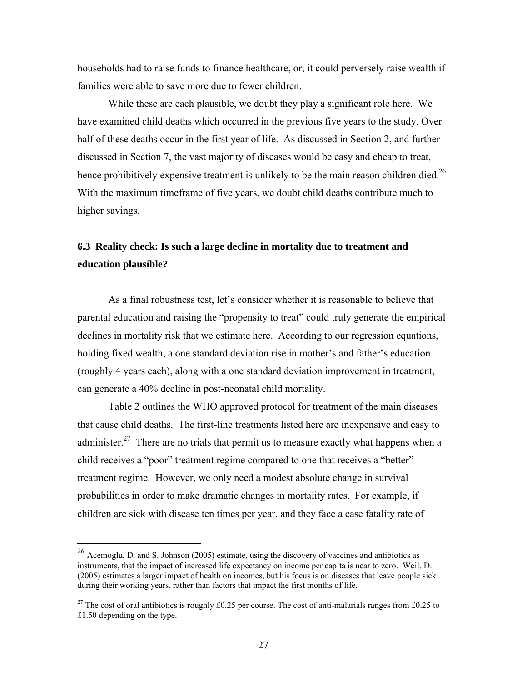households had to raise funds to finance healthcare, or, it could perversely raise wealth if families were able to save more due to fewer children.

While these are each plausible, we doubt they play a significant role here. We have examined child deaths which occurred in the previous five years to the study. Over half of these deaths occur in the first year of life. As discussed in Section 2, and further discussed in Section 7, the vast majority of diseases would be easy and cheap to treat, hence prohibitively expensive treatment is unlikely to be the main reason children died.<sup>26</sup> With the maximum timeframe of five years, we doubt child deaths contribute much to higher savings.

## **6.3 Reality check: Is such a large decline in mortality due to treatment and education plausible?**

As a final robustness test, let's consider whether it is reasonable to believe that parental education and raising the "propensity to treat" could truly generate the empirical declines in mortality risk that we estimate here. According to our regression equations, holding fixed wealth, a one standard deviation rise in mother's and father's education (roughly 4 years each), along with a one standard deviation improvement in treatment, can generate a 40% decline in post-neonatal child mortality.

Table 2 outlines the WHO approved protocol for treatment of the main diseases that cause child deaths. The first-line treatments listed here are inexpensive and easy to administer.<sup>27</sup> There are no trials that permit us to measure exactly what happens when a child receives a "poor" treatment regime compared to one that receives a "better" treatment regime. However, we only need a modest absolute change in survival probabilities in order to make dramatic changes in mortality rates. For example, if children are sick with disease ten times per year, and they face a case fatality rate of

<sup>26</sup> Acemoglu, D. and S. Johnson (2005) estimate, using the discovery of vaccines and antibiotics as instruments, that the impact of increased life expectancy on income per capita is near to zero. Weil. D. (2005) estimates a larger impact of health on incomes, but his focus is on diseases that leave people sick during their working years, rather than factors that impact the first months of life.

<sup>&</sup>lt;sup>27</sup> The cost of oral antibiotics is roughly £0.25 per course. The cost of anti-malarials ranges from £0.25 to £1.50 depending on the type.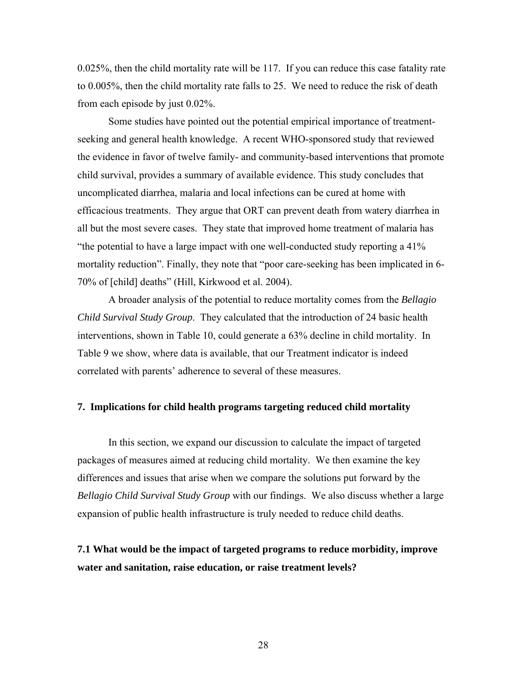0.025%, then the child mortality rate will be 117. If you can reduce this case fatality rate to 0.005%, then the child mortality rate falls to 25. We need to reduce the risk of death from each episode by just 0.02%.

Some studies have pointed out the potential empirical importance of treatmentseeking and general health knowledge. A recent WHO-sponsored study that reviewed the evidence in favor of twelve family- and community-based interventions that promote child survival, provides a summary of available evidence. This study concludes that uncomplicated diarrhea, malaria and local infections can be cured at home with efficacious treatments. They argue that ORT can prevent death from watery diarrhea in all but the most severe cases. They state that improved home treatment of malaria has "the potential to have a large impact with one well-conducted study reporting a 41% mortality reduction". Finally, they note that "poor care-seeking has been implicated in 6- 70% of [child] deaths" (Hill, Kirkwood et al. 2004).

A broader analysis of the potential to reduce mortality comes from the *Bellagio Child Survival Study Group*. They calculated that the introduction of 24 basic health interventions, shown in Table 10, could generate a 63% decline in child mortality. In Table 9 we show, where data is available, that our Treatment indicator is indeed correlated with parents' adherence to several of these measures.

#### **7. Implications for child health programs targeting reduced child mortality**

In this section, we expand our discussion to calculate the impact of targeted packages of measures aimed at reducing child mortality. We then examine the key differences and issues that arise when we compare the solutions put forward by the *Bellagio Child Survival Study Group* with our findings. We also discuss whether a large expansion of public health infrastructure is truly needed to reduce child deaths.

## **7.1 What would be the impact of targeted programs to reduce morbidity, improve water and sanitation, raise education, or raise treatment levels?**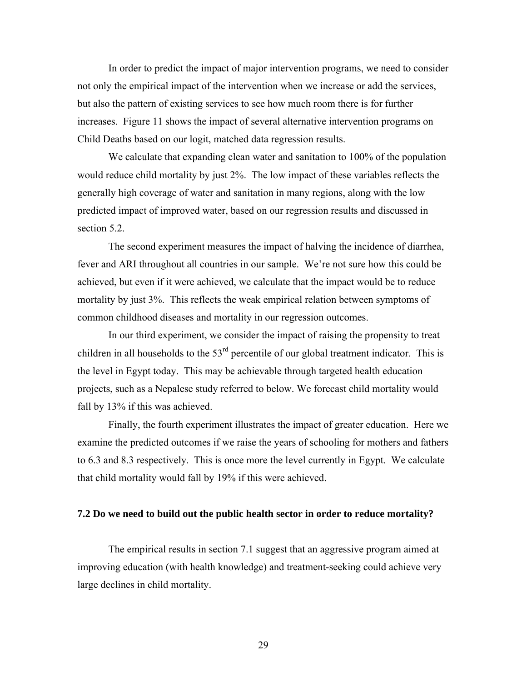In order to predict the impact of major intervention programs, we need to consider not only the empirical impact of the intervention when we increase or add the services, but also the pattern of existing services to see how much room there is for further increases. Figure 11 shows the impact of several alternative intervention programs on Child Deaths based on our logit, matched data regression results.

We calculate that expanding clean water and sanitation to 100% of the population would reduce child mortality by just 2%. The low impact of these variables reflects the generally high coverage of water and sanitation in many regions, along with the low predicted impact of improved water, based on our regression results and discussed in section 5.2.

The second experiment measures the impact of halving the incidence of diarrhea, fever and ARI throughout all countries in our sample. We're not sure how this could be achieved, but even if it were achieved, we calculate that the impact would be to reduce mortality by just 3%. This reflects the weak empirical relation between symptoms of common childhood diseases and mortality in our regression outcomes.

In our third experiment, we consider the impact of raising the propensity to treat children in all households to the  $53<sup>rd</sup>$  percentile of our global treatment indicator. This is the level in Egypt today. This may be achievable through targeted health education projects, such as a Nepalese study referred to below. We forecast child mortality would fall by 13% if this was achieved.

Finally, the fourth experiment illustrates the impact of greater education. Here we examine the predicted outcomes if we raise the years of schooling for mothers and fathers to 6.3 and 8.3 respectively. This is once more the level currently in Egypt. We calculate that child mortality would fall by 19% if this were achieved.

#### **7.2 Do we need to build out the public health sector in order to reduce mortality?**

The empirical results in section 7.1 suggest that an aggressive program aimed at improving education (with health knowledge) and treatment-seeking could achieve very large declines in child mortality.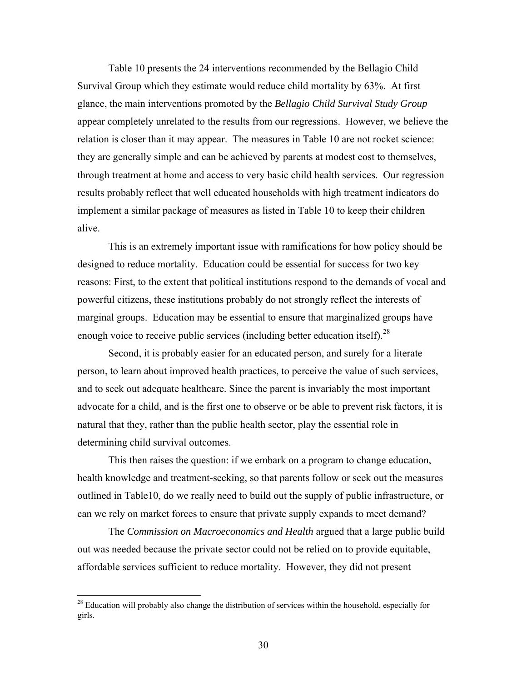Table 10 presents the 24 interventions recommended by the Bellagio Child Survival Group which they estimate would reduce child mortality by 63%. At first glance, the main interventions promoted by the *Bellagio Child Survival Study Group* appear completely unrelated to the results from our regressions. However, we believe the relation is closer than it may appear. The measures in Table 10 are not rocket science: they are generally simple and can be achieved by parents at modest cost to themselves, through treatment at home and access to very basic child health services. Our regression results probably reflect that well educated households with high treatment indicators do implement a similar package of measures as listed in Table 10 to keep their children alive.

This is an extremely important issue with ramifications for how policy should be designed to reduce mortality. Education could be essential for success for two key reasons: First, to the extent that political institutions respond to the demands of vocal and powerful citizens, these institutions probably do not strongly reflect the interests of marginal groups. Education may be essential to ensure that marginalized groups have enough voice to receive public services (including better education itself).  $^{28}$ 

Second, it is probably easier for an educated person, and surely for a literate person, to learn about improved health practices, to perceive the value of such services, and to seek out adequate healthcare. Since the parent is invariably the most important advocate for a child, and is the first one to observe or be able to prevent risk factors, it is natural that they, rather than the public health sector, play the essential role in determining child survival outcomes.

This then raises the question: if we embark on a program to change education, health knowledge and treatment-seeking, so that parents follow or seek out the measures outlined in Table10, do we really need to build out the supply of public infrastructure, or can we rely on market forces to ensure that private supply expands to meet demand?

The *Commission on Macroeconomics and Health* argued that a large public build out was needed because the private sector could not be relied on to provide equitable, affordable services sufficient to reduce mortality. However, they did not present

 $2<sup>28</sup>$  Education will probably also change the distribution of services within the household, especially for girls.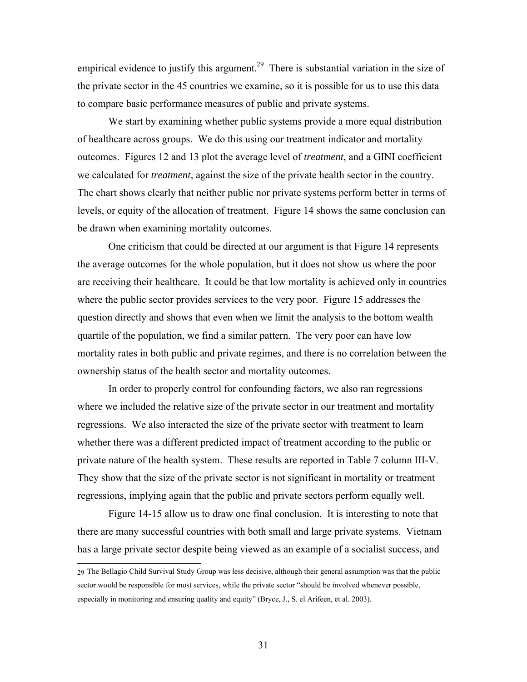empirical evidence to justify this argument.<sup>29</sup> There is substantial variation in the size of the private sector in the 45 countries we examine, so it is possible for us to use this data to compare basic performance measures of public and private systems.

We start by examining whether public systems provide a more equal distribution of healthcare across groups. We do this using our treatment indicator and mortality outcomes. Figures 12 and 13 plot the average level of *treatment*, and a GINI coefficient we calculated for *treatment*, against the size of the private health sector in the country. The chart shows clearly that neither public nor private systems perform better in terms of levels, or equity of the allocation of treatment. Figure 14 shows the same conclusion can be drawn when examining mortality outcomes.

One criticism that could be directed at our argument is that Figure 14 represents the average outcomes for the whole population, but it does not show us where the poor are receiving their healthcare. It could be that low mortality is achieved only in countries where the public sector provides services to the very poor. Figure 15 addresses the question directly and shows that even when we limit the analysis to the bottom wealth quartile of the population, we find a similar pattern. The very poor can have low mortality rates in both public and private regimes, and there is no correlation between the ownership status of the health sector and mortality outcomes.

In order to properly control for confounding factors, we also ran regressions where we included the relative size of the private sector in our treatment and mortality regressions. We also interacted the size of the private sector with treatment to learn whether there was a different predicted impact of treatment according to the public or private nature of the health system. These results are reported in Table 7 column III-V. They show that the size of the private sector is not significant in mortality or treatment regressions, implying again that the public and private sectors perform equally well.

Figure 14-15 allow us to draw one final conclusion. It is interesting to note that there are many successful countries with both small and large private systems. Vietnam has a large private sector despite being viewed as an example of a socialist success, and

<sup>29</sup> The Bellagio Child Survival Study Group was less decisive, although their general assumption was that the public sector would be responsible for most services, while the private sector "should be involved whenever possible, especially in monitoring and ensuring quality and equity" (Bryce, J., S. el Arifeen, et al. 2003).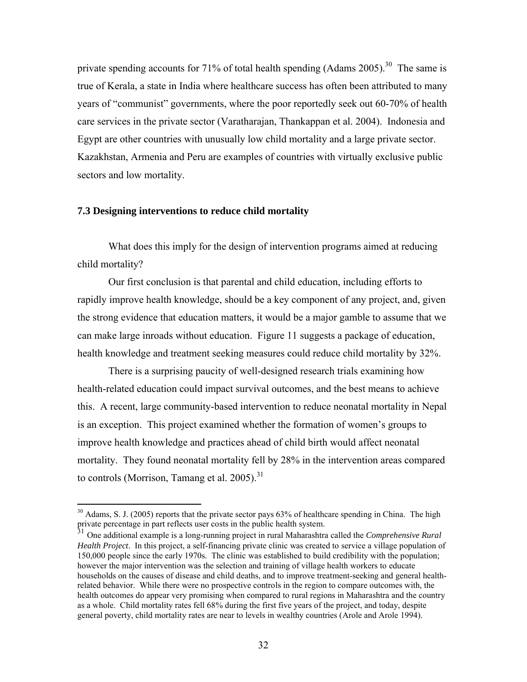private spending accounts for 71% of total health spending (Adams 2005).<sup>30</sup> The same is true of Kerala, a state in India where healthcare success has often been attributed to many years of "communist" governments, where the poor reportedly seek out 60-70% of health care services in the private sector (Varatharajan, Thankappan et al. 2004). Indonesia and Egypt are other countries with unusually low child mortality and a large private sector. Kazakhstan, Armenia and Peru are examples of countries with virtually exclusive public sectors and low mortality.

#### **7.3 Designing interventions to reduce child mortality**

 $\overline{a}$ 

What does this imply for the design of intervention programs aimed at reducing child mortality?

Our first conclusion is that parental and child education, including efforts to rapidly improve health knowledge, should be a key component of any project, and, given the strong evidence that education matters, it would be a major gamble to assume that we can make large inroads without education. Figure 11 suggests a package of education, health knowledge and treatment seeking measures could reduce child mortality by 32%.

There is a surprising paucity of well-designed research trials examining how health-related education could impact survival outcomes, and the best means to achieve this. A recent, large community-based intervention to reduce neonatal mortality in Nepal is an exception. This project examined whether the formation of women's groups to improve health knowledge and practices ahead of child birth would affect neonatal mortality. They found neonatal mortality fell by 28% in the intervention areas compared to controls (Morrison, Tamang et al. 2005).<sup>31</sup>

 $30$  Adams, S. J. (2005) reports that the private sector pays 63% of healthcare spending in China. The high private percentage in part reflects user costs in the public health system.

<sup>31</sup> One additional example is a long-running project in rural Maharashtra called the *Comprehensive Rural Health Project*. In this project, a self-financing private clinic was created to service a village population of 150,000 people since the early 1970s. The clinic was established to build credibility with the population; however the major intervention was the selection and training of village health workers to educate households on the causes of disease and child deaths, and to improve treatment-seeking and general healthrelated behavior. While there were no prospective controls in the region to compare outcomes with, the health outcomes do appear very promising when compared to rural regions in Maharashtra and the country as a whole. Child mortality rates fell 68% during the first five years of the project, and today, despite general poverty, child mortality rates are near to levels in wealthy countries (Arole and Arole 1994).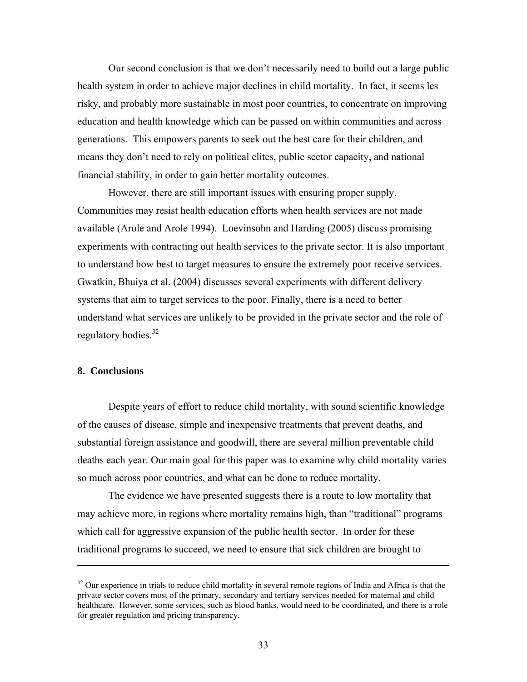Our second conclusion is that we don't necessarily need to build out a large public health system in order to achieve major declines in child mortality. In fact, it seems les risky, and probably more sustainable in most poor countries, to concentrate on improving education and health knowledge which can be passed on within communities and across generations. This empowers parents to seek out the best care for their children, and means they don't need to rely on political elites, public sector capacity, and national financial stability, in order to gain better mortality outcomes.

However, there are still important issues with ensuring proper supply. Communities may resist health education efforts when health services are not made available (Arole and Arole 1994). Loevinsohn and Harding (2005) discuss promising experiments with contracting out health services to the private sector. It is also important to understand how best to target measures to ensure the extremely poor receive services. Gwatkin, Bhuiya et al. (2004) discusses several experiments with different delivery systems that aim to target services to the poor. Finally, there is a need to better understand what services are unlikely to be provided in the private sector and the role of regulatory bodies.<sup>32</sup>

#### **8. Conclusions**

 $\overline{a}$ 

Despite years of effort to reduce child mortality, with sound scientific knowledge of the causes of disease, simple and inexpensive treatments that prevent deaths, and substantial foreign assistance and goodwill, there are several million preventable child deaths each year. Our main goal for this paper was to examine why child mortality varies so much across poor countries, and what can be done to reduce mortality.

The evidence we have presented suggests there is a route to low mortality that may achieve more, in regions where mortality remains high, than "traditional" programs which call for aggressive expansion of the public health sector. In order for these traditional programs to succeed, we need to ensure that sick children are brought to

 $32$  Our experience in trials to reduce child mortality in several remote regions of India and Africa is that the private sector covers most of the primary, secondary and tertiary services needed for maternal and child healthcare. However, some services, such as blood banks, would need to be coordinated, and there is a role for greater regulation and pricing transparency.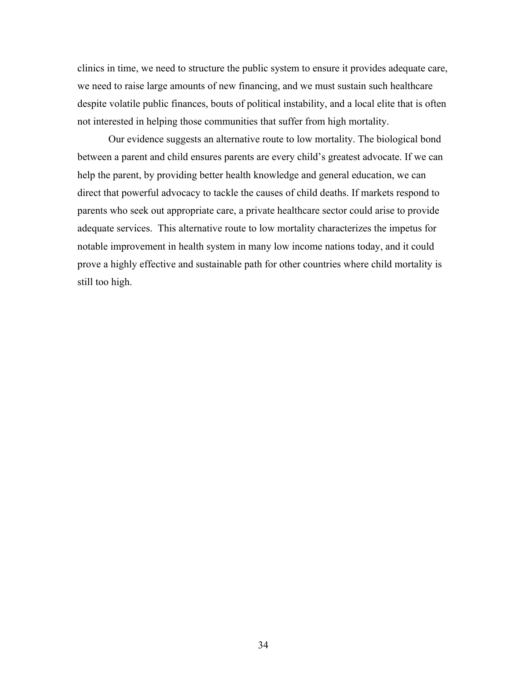clinics in time, we need to structure the public system to ensure it provides adequate care, we need to raise large amounts of new financing, and we must sustain such healthcare despite volatile public finances, bouts of political instability, and a local elite that is often not interested in helping those communities that suffer from high mortality.

Our evidence suggests an alternative route to low mortality. The biological bond between a parent and child ensures parents are every child's greatest advocate. If we can help the parent, by providing better health knowledge and general education, we can direct that powerful advocacy to tackle the causes of child deaths. If markets respond to parents who seek out appropriate care, a private healthcare sector could arise to provide adequate services. This alternative route to low mortality characterizes the impetus for notable improvement in health system in many low income nations today, and it could prove a highly effective and sustainable path for other countries where child mortality is still too high.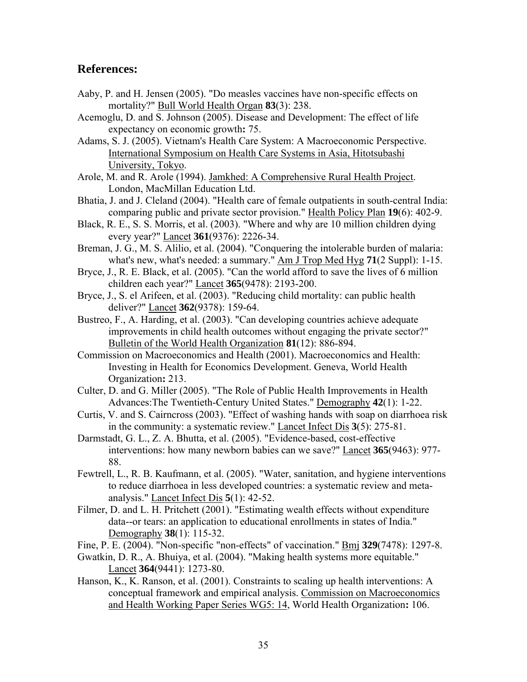## **References:**

- Aaby, P. and H. Jensen (2005). "Do measles vaccines have non-specific effects on mortality?" Bull World Health Organ **83**(3): 238.
- Acemoglu, D. and S. Johnson (2005). Disease and Development: The effect of life expectancy on economic growth**:** 75.
- Adams, S. J. (2005). Vietnam's Health Care System: A Macroeconomic Perspective. International Symposium on Health Care Systems in Asia, Hitotsubashi University, Tokyo.
- Arole, M. and R. Arole (1994). Jamkhed: A Comprehensive Rural Health Project. London, MacMillan Education Ltd.
- Bhatia, J. and J. Cleland (2004). "Health care of female outpatients in south-central India: comparing public and private sector provision." Health Policy Plan **19**(6): 402-9.
- Black, R. E., S. S. Morris, et al. (2003). "Where and why are 10 million children dying every year?" Lancet **361**(9376): 2226-34.
- Breman, J. G., M. S. Alilio, et al. (2004). "Conquering the intolerable burden of malaria: what's new, what's needed: a summary." Am J Trop Med Hyg **71**(2 Suppl): 1-15.
- Bryce, J., R. E. Black, et al. (2005). "Can the world afford to save the lives of 6 million children each year?" Lancet **365**(9478): 2193-200.
- Bryce, J., S. el Arifeen, et al. (2003). "Reducing child mortality: can public health deliver?" Lancet **362**(9378): 159-64.
- Bustreo, F., A. Harding, et al. (2003). "Can developing countries achieve adequate improvements in child health outcomes without engaging the private sector?" Bulletin of the World Health Organization **81**(12): 886-894.
- Commission on Macroeconomics and Health (2001). Macroeconomics and Health: Investing in Health for Economics Development. Geneva, World Health Organization**:** 213.
- Culter, D. and G. Miller (2005). "The Role of Public Health Improvements in Health Advances:The Twentieth-Century United States." Demography **42**(1): 1-22.
- Curtis, V. and S. Cairncross (2003). "Effect of washing hands with soap on diarrhoea risk in the community: a systematic review." Lancet Infect Dis **3**(5): 275-81.
- Darmstadt, G. L., Z. A. Bhutta, et al. (2005). "Evidence-based, cost-effective interventions: how many newborn babies can we save?" Lancet **365**(9463): 977- 88.
- Fewtrell, L., R. B. Kaufmann, et al. (2005). "Water, sanitation, and hygiene interventions to reduce diarrhoea in less developed countries: a systematic review and metaanalysis." Lancet Infect Dis **5**(1): 42-52.
- Filmer, D. and L. H. Pritchett (2001). "Estimating wealth effects without expenditure data--or tears: an application to educational enrollments in states of India." Demography **38**(1): 115-32.
- Fine, P. E. (2004). "Non-specific "non-effects" of vaccination." Bmj **329**(7478): 1297-8.
- Gwatkin, D. R., A. Bhuiya, et al. (2004). "Making health systems more equitable." Lancet **364**(9441): 1273-80.
- Hanson, K., K. Ranson, et al. (2001). Constraints to scaling up health interventions: A conceptual framework and empirical analysis. Commission on Macroeconomics and Health Working Paper Series WG5: 14, World Health Organization**:** 106.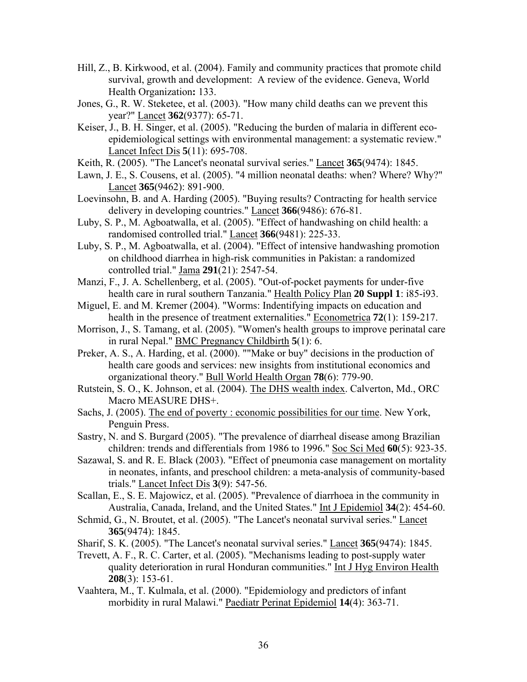- Hill, Z., B. Kirkwood, et al. (2004). Family and community practices that promote child survival, growth and development: A review of the evidence. Geneva, World Health Organization**:** 133.
- Jones, G., R. W. Steketee, et al. (2003). "How many child deaths can we prevent this year?" Lancet **362**(9377): 65-71.
- Keiser, J., B. H. Singer, et al. (2005). "Reducing the burden of malaria in different ecoepidemiological settings with environmental management: a systematic review." Lancet Infect Dis **5**(11): 695-708.
- Keith, R. (2005). "The Lancet's neonatal survival series." Lancet **365**(9474): 1845.
- Lawn, J. E., S. Cousens, et al. (2005). "4 million neonatal deaths: when? Where? Why?" Lancet **365**(9462): 891-900.
- Loevinsohn, B. and A. Harding (2005). "Buying results? Contracting for health service delivery in developing countries." Lancet **366**(9486): 676-81.
- Luby, S. P., M. Agboatwalla, et al. (2005). "Effect of handwashing on child health: a randomised controlled trial." Lancet **366**(9481): 225-33.
- Luby, S. P., M. Agboatwalla, et al. (2004). "Effect of intensive handwashing promotion on childhood diarrhea in high-risk communities in Pakistan: a randomized controlled trial." Jama **291**(21): 2547-54.
- Manzi, F., J. A. Schellenberg, et al. (2005). "Out-of-pocket payments for under-five health care in rural southern Tanzania." Health Policy Plan **20 Suppl 1**: i85-i93.
- Miguel, E. and M. Kremer (2004). "Worms: Indentifying impacts on education and health in the presence of treatment externalities." Econometrica **72**(1): 159-217.
- Morrison, J., S. Tamang, et al. (2005). "Women's health groups to improve perinatal care in rural Nepal." BMC Pregnancy Childbirth **5**(1): 6.
- Preker, A. S., A. Harding, et al. (2000). ""Make or buy" decisions in the production of health care goods and services: new insights from institutional economics and organizational theory." Bull World Health Organ **78**(6): 779-90.
- Rutstein, S. O., K. Johnson, et al. (2004). The DHS wealth index. Calverton, Md., ORC Macro MEASURE DHS+.
- Sachs, J. (2005). The end of poverty : economic possibilities for our time. New York, Penguin Press.
- Sastry, N. and S. Burgard (2005). "The prevalence of diarrheal disease among Brazilian children: trends and differentials from 1986 to 1996." Soc Sci Med **60**(5): 923-35.
- Sazawal, S. and R. E. Black (2003). "Effect of pneumonia case management on mortality in neonates, infants, and preschool children: a meta-analysis of community-based trials." Lancet Infect Dis **3**(9): 547-56.
- Scallan, E., S. E. Majowicz, et al. (2005). "Prevalence of diarrhoea in the community in Australia, Canada, Ireland, and the United States." Int J Epidemiol **34**(2): 454-60.
- Schmid, G., N. Broutet, et al. (2005). "The Lancet's neonatal survival series." Lancet **365**(9474): 1845.
- Sharif, S. K. (2005). "The Lancet's neonatal survival series." Lancet **365**(9474): 1845.
- Trevett, A. F., R. C. Carter, et al. (2005). "Mechanisms leading to post-supply water quality deterioration in rural Honduran communities." Int J Hyg Environ Health **208**(3): 153-61.
- Vaahtera, M., T. Kulmala, et al. (2000). "Epidemiology and predictors of infant morbidity in rural Malawi." Paediatr Perinat Epidemiol **14**(4): 363-71.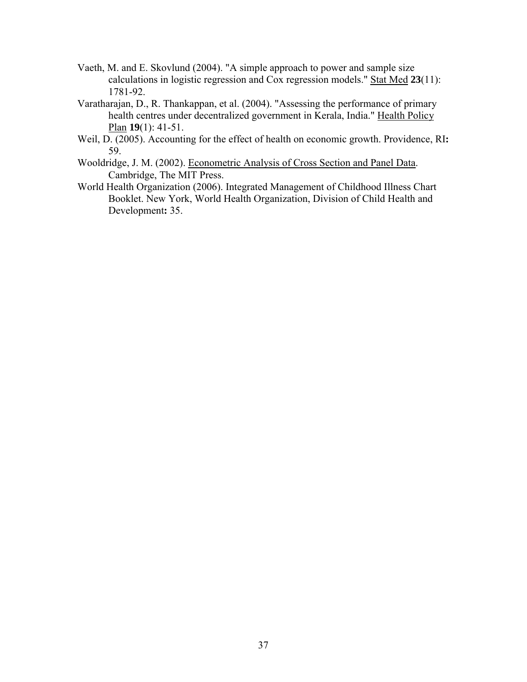- Vaeth, M. and E. Skovlund (2004). "A simple approach to power and sample size calculations in logistic regression and Cox regression models." Stat Med **23**(11): 1781-92.
- Varatharajan, D., R. Thankappan, et al. (2004). "Assessing the performance of primary health centres under decentralized government in Kerala, India." Health Policy Plan **19**(1): 41-51.
- Weil, D. (2005). Accounting for the effect of health on economic growth. Providence, RI**:**  59.
- Wooldridge, J. M. (2002). Econometric Analysis of Cross Section and Panel Data. Cambridge, The MIT Press.
- World Health Organization (2006). Integrated Management of Childhood Illness Chart Booklet. New York, World Health Organization, Division of Child Health and Development**:** 35.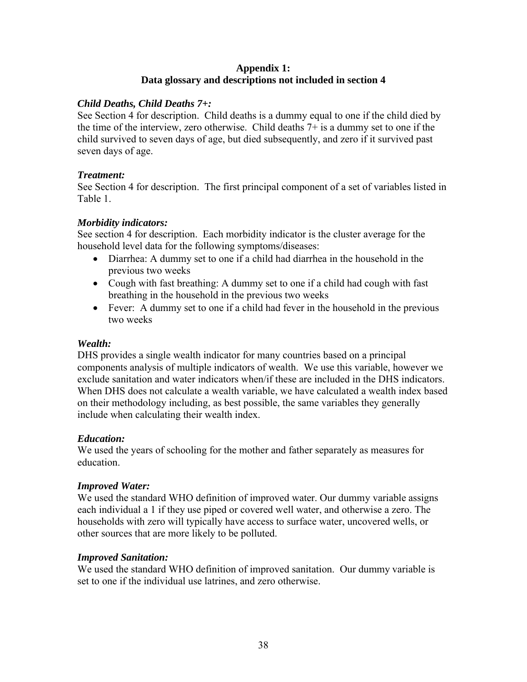### **Appendix 1: Data glossary and descriptions not included in section 4**

### *Child Deaths, Child Deaths 7+:*

See Section 4 for description. Child deaths is a dummy equal to one if the child died by the time of the interview, zero otherwise. Child deaths 7+ is a dummy set to one if the child survived to seven days of age, but died subsequently, and zero if it survived past seven days of age.

### *Treatment:*

See Section 4 for description. The first principal component of a set of variables listed in Table 1.

### *Morbidity indicators:*

See section 4 for description. Each morbidity indicator is the cluster average for the household level data for the following symptoms/diseases:

- Diarrhea: A dummy set to one if a child had diarrhea in the household in the previous two weeks
- Cough with fast breathing: A dummy set to one if a child had cough with fast breathing in the household in the previous two weeks
- Fever: A dummy set to one if a child had fever in the household in the previous two weeks

### *Wealth:*

DHS provides a single wealth indicator for many countries based on a principal components analysis of multiple indicators of wealth. We use this variable, however we exclude sanitation and water indicators when/if these are included in the DHS indicators. When DHS does not calculate a wealth variable, we have calculated a wealth index based on their methodology including, as best possible, the same variables they generally include when calculating their wealth index.

### *Education:*

We used the years of schooling for the mother and father separately as measures for education.

### *Improved Water:*

We used the standard WHO definition of improved water. Our dummy variable assigns each individual a 1 if they use piped or covered well water, and otherwise a zero. The households with zero will typically have access to surface water, uncovered wells, or other sources that are more likely to be polluted.

#### *Improved Sanitation:*

We used the standard WHO definition of improved sanitation. Our dummy variable is set to one if the individual use latrines, and zero otherwise.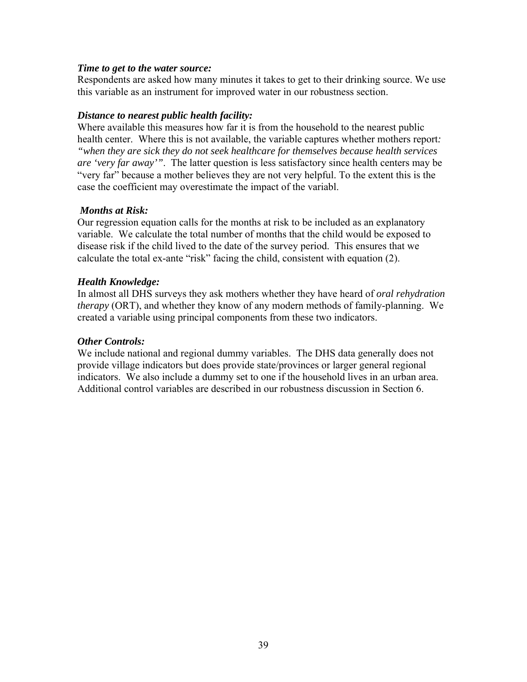#### *Time to get to the water source:*

Respondents are asked how many minutes it takes to get to their drinking source. We use this variable as an instrument for improved water in our robustness section.

#### *Distance to nearest public health facility:*

Where available this measures how far it is from the household to the nearest public health center. Where this is not available, the variable captures whether mothers report*: "when they are sick they do not seek healthcare for themselves because health services are 'very far away'"*. The latter question is less satisfactory since health centers may be "very far" because a mother believes they are not very helpful. To the extent this is the case the coefficient may overestimate the impact of the variabl.

#### *Months at Risk:*

Our regression equation calls for the months at risk to be included as an explanatory variable. We calculate the total number of months that the child would be exposed to disease risk if the child lived to the date of the survey period. This ensures that we calculate the total ex-ante "risk" facing the child, consistent with equation (2).

#### *Health Knowledge:*

In almost all DHS surveys they ask mothers whether they have heard of *oral rehydration therapy* (ORT), and whether they know of any modern methods of family-planning. We created a variable using principal components from these two indicators.

#### *Other Controls:*

We include national and regional dummy variables. The DHS data generally does not provide village indicators but does provide state/provinces or larger general regional indicators. We also include a dummy set to one if the household lives in an urban area. Additional control variables are described in our robustness discussion in Section 6.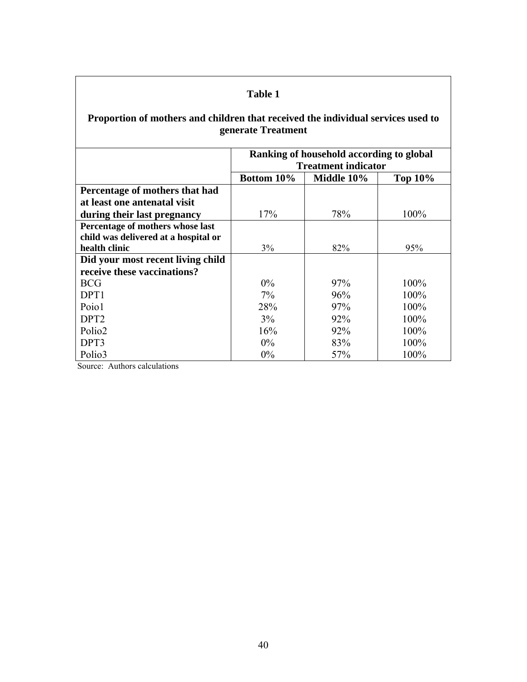### **Proportion of mothers and children that received the individual services used to generate Treatment**

|                                      | Ranking of household according to global<br><b>Treatment indicator</b> |            |                |  |  |  |
|--------------------------------------|------------------------------------------------------------------------|------------|----------------|--|--|--|
|                                      | <b>Bottom 10%</b>                                                      | Middle 10% | <b>Top 10%</b> |  |  |  |
| Percentage of mothers that had       |                                                                        |            |                |  |  |  |
| at least one antenatal visit         |                                                                        |            |                |  |  |  |
| during their last pregnancy          | 17%                                                                    | 78%        | 100%           |  |  |  |
| Percentage of mothers whose last     |                                                                        |            |                |  |  |  |
| child was delivered at a hospital or |                                                                        |            |                |  |  |  |
| health clinic                        | 3%                                                                     | 82%        | 95%            |  |  |  |
| Did your most recent living child    |                                                                        |            |                |  |  |  |
| receive these vaccinations?          |                                                                        |            |                |  |  |  |
| <b>BCG</b>                           | $0\%$                                                                  | 97%        | $100\%$        |  |  |  |
| DPT <sub>1</sub>                     | $7\%$                                                                  | 96%        | $100\%$        |  |  |  |
| Poio1                                | 28%                                                                    | 97%        | $100\%$        |  |  |  |
| DPT <sub>2</sub>                     | 3%                                                                     | 92%        | 100%           |  |  |  |
| Polio <sub>2</sub>                   | 16%                                                                    | 92%        | $100\%$        |  |  |  |
| DPT3                                 | $0\%$                                                                  | 83%        | 100%           |  |  |  |
| Polio3                               | $0\%$                                                                  | 57%        | 100%           |  |  |  |

Source: Authors calculations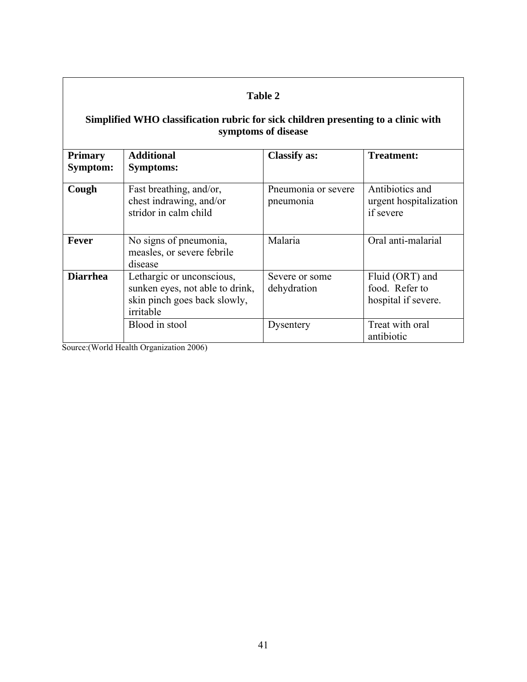# **Simplified WHO classification rubric for sick children presenting to a clinic with symptoms of disease**

| <b>Primary</b><br>Symptom:                                                                                                   | <b>Additional</b><br><b>Symptoms:</b>                                       | <b>Classify as:</b>              | <b>Treatment:</b>                                        |
|------------------------------------------------------------------------------------------------------------------------------|-----------------------------------------------------------------------------|----------------------------------|----------------------------------------------------------|
| Cough                                                                                                                        | Fast breathing, and/or,<br>chest indrawing, and/or<br>stridor in calm child | Pneumonia or severe<br>pneumonia | Antibiotics and<br>urgent hospitalization<br>if severe   |
| Fever                                                                                                                        | No signs of pneumonia,<br>measles, or severe febrile<br>disease             | Malaria                          | Oral anti-malarial                                       |
| <b>Diarrhea</b><br>Lethargic or unconscious,<br>sunken eyes, not able to drink,<br>skin pinch goes back slowly,<br>irritable |                                                                             | Severe or some<br>dehydration    | Fluid (ORT) and<br>food. Refer to<br>hospital if severe. |
|                                                                                                                              | Blood in stool                                                              | Dysentery                        | Treat with oral<br>antibiotic                            |

Source:(World Health Organization 2006)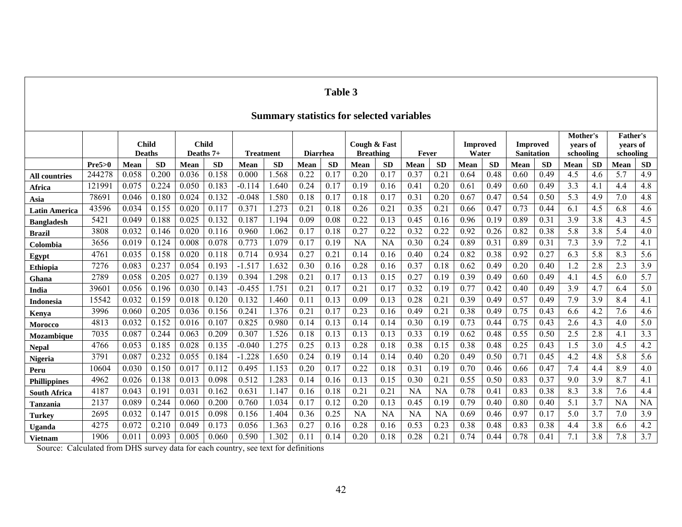# **Summary statistics for selected variables**

|                      |        | <b>Child</b> | <b>Deaths</b>  | <b>Child</b><br>Deaths 7+ |           | <b>Treatment</b> |           | <b>Diarrhea</b> |           | Cough & Fast<br><b>Breathing</b> |           | Fever     |           | <b>Improved</b><br>Water |           | <b>Improved</b><br>Sanitation |           | Mother's<br>vears of<br>schooling |           | <b>Father's</b><br>vears of<br>schooling |                  |
|----------------------|--------|--------------|----------------|---------------------------|-----------|------------------|-----------|-----------------|-----------|----------------------------------|-----------|-----------|-----------|--------------------------|-----------|-------------------------------|-----------|-----------------------------------|-----------|------------------------------------------|------------------|
|                      | Pre5>0 | <b>Mean</b>  | <b>SD</b>      | Mean                      | <b>SD</b> | <b>Mean</b>      | <b>SD</b> | Mean            | <b>SD</b> | Mean                             | <b>SD</b> | Mean      | <b>SD</b> | Mean                     | <b>SD</b> | Mean                          | <b>SD</b> | Mean                              | <b>SD</b> | <b>Mean</b>                              | <b>SD</b>        |
| <b>All countries</b> | 244278 | 0.058        | 0.200          | 0.036                     | 0.158     | 0.000            | 1.568     | 0.22            | 0.17      | 0.20                             | 0.17      | 0.37      | 0.21      | 0.64                     | 0.48      | 0.60                          | 0.49      | 4.5                               | 4.6       | 5.7                                      | 4.9              |
| Africa               | 12199  | 0.075        | 0.224          | 0.050                     | 0.183     | $-0.114$         | 1.640     | 0.24            | 0.17      | 0.19                             | 0.16      | 0.41      | 0.20      | 0.61                     | 0.49      | 0.60                          | 0.49      | 3.3                               | 4.1       | 4.4                                      | 4.8              |
| Asia                 | 7869   | 0.046        | 0.180          | 0.024                     | 0.132     | $-0.048$         | 1.580     | 0.18            | 0.17      | 0.18                             | 0.17      | 0.31      | 0.20      | 0.67                     | 0.47      | 0.54                          | 0.50      | 5.3                               | 4.9       | 7.0                                      | 4.8              |
| Latin America        | 43596  | 0.034        | 0.155          | 0.020                     | 0.117     | 0.371            | .273      | 0.2             | 0.18      | 0.26                             | 0.21      | 0.35      | 0.21      | 0.66                     | 0.47      | 0.73                          | 0.44      | 6.1                               | 4.5       | 6.8                                      | 4.6              |
| <b>Bangladesh</b>    | 5421   | 0.049        | 0.188          | 0.025                     | 0.132     | 0.187            | 1.194     | 0.09            | 0.08      | 0.22                             | 0.13      | 0.45      | 0.16      | 0.96                     | 0.19      | 0.89                          | 0.31      | 3.9                               | 3.8       | 4.3                                      | 4.5              |
| <b>Brazil</b>        | 3808   | 0.032        | 0.146          | 0.020                     | 0.116     | 0.960            | 1.062     | 0.17            | 0.18      | 0.27                             | 0.22      | 0.32      | 0.22      | 0.92                     | 0.26      | 0.82                          | 0.38      | 5.8                               | 3.8       | 5.4                                      | 4.0              |
| Colombia             | 3656   | 0.019        | 0.124          | 0.008                     | 0.078     | 0.773            | 1.079     | 0.17            | 0.19      | <b>NA</b>                        | <b>NA</b> | 0.30      | 0.24      | 0.89                     | 0.31      | 0.89                          | 0.31      | 7.3                               | 3.9       | 7.2                                      | 4.1              |
| Egypt                | 4761   | 0.035        | 0.158          | 0.020                     | 0.118     | 0.714            | 0.934     | 0.27            | 0.2       | 0.14                             | 0.16      | 0.40      | 0.24      | 0.82                     | 0.38      | 0.92                          | 0.27      | 6.3                               | 5.8       | 8.3                                      | 5.6              |
| <b>Ethiopia</b>      | 7276   | 0.083        | 0.237          | 0.054                     | 0.193     | $-1.517$         | 1.632     | 0.30            | 0.16      | 0.28                             | 0.16      | 0.37      | 0.18      | 0.62                     | 0.49      | 0.20                          | 0.40      | 1.2                               | 2.8       | 2.3                                      | 3.9              |
| Ghana                | 2789   | 0.058        | 0.205          | 0.027                     | 0.139     | 0.394            | 1.298     | 0.2             | 0.17      | 0.13                             | 0.15      | 0.27      | 0.19      | 0.39                     | 0.49      | 0.60                          | 0.49      | 4.1                               | 4.5       | 6.0                                      | 5.7              |
| India                | 3960   | 0.056        | 0.196          | 0.030                     | 0.143     | $-0.455$         | 1.751     | 0.2             | 0.17      | 0.21                             | 0.17      | 0.32      | 0.19      | 0.77                     | 0.42      | 0.40                          | 0.49      | 3.9                               | 4.7       | 6.4                                      | 5.0              |
| Indonesia            | 15542  | 0.032        | 0.159          | 0.018                     | 0.120     | 0.132            | 1.460     | 0.1             | 0.13      | 0.09                             | 0.13      | 0.28      | 0.21      | 0.39                     | 0.49      | 0.57                          | 0.49      | 7.9                               | 3.9       | 8.4                                      | 4.1              |
| Kenva                | 3996   | 0.060        | 0.205          | 0.036                     | 0.156     | 0.241            | 1.376     | 0.2             | 0.17      | 0.23                             | 0.16      | 0.49      | 0.21      | 0.38                     | 0.49      | 0.75                          | 0.43      | 6.6                               | 4.2       | 7.6                                      | 4.6              |
| Morocco              | 4813   | 0.032        | 0.152          | 0.016                     | 0.107     | 0.825            | 0.980     | 0.14            | 0.13      | 0.14                             | 0.14      | 0.30      | 0.19      | 0.73                     | 0.44      | 0.75                          | 0.43      | 2.6                               | 4.3       | 4.0                                      | 5.0              |
| Mozambique           | 7035   | 0.087        | 0.244          | 0.063                     | 0.209     | 0.307            | .526      | 0.18            | 0.13      | 0.13                             | 0.13      | 0.33      | 0.19      | 0.62                     | 0.48      | 0.55                          | 0.50      | 2.5                               | 2.8       | 4.1                                      | $\overline{3.3}$ |
| <b>Nepal</b>         | 4766   | 0.053        | 0.185          | 0.028                     | 0.135     | $-0.040$         | 1.275     | 0.25            | 0.13      | 0.28                             | 0.18      | 0.38      | 0.15      | 0.38                     | 0.48      | 0.25                          | 0.43      | 1.5                               | 3.0       | 4.5                                      | 4.2              |
| Nigeria              | 3791   | 0.087        | 0.232          | 0.055                     | 0.184     | $-1.228$         | 1.650     | 0.24            | 0.19      | 0.14                             | 0.14      | 0.40      | 0.20      | 0.49                     | 0.50      | 0.71                          | 0.45      | 4.2                               | 4.8       | 5.8                                      | 5.6              |
| Peru                 | 10604  | 0.030        | 0.150          | 0.017                     | 0.112     | 0.495            | 1.153     | 0.20            | 0.17      | 0.22                             | 0.18      | 0.31      | 0.19      | 0.70                     | 0.46      | 0.66                          | 0.47      | 7.4                               | 4.4       | 8.9                                      | 4.0              |
| <b>Phillippines</b>  | 4962   | 0.026        | 0.138          | 0.013                     | 0.098     | 0.512            | .283      | 0.14            | 0.16      | 0.13                             | 0.15      | 0.30      | 0.21      | 0.55                     | 0.50      | 0.83                          | 0.37      | 9.0                               | 3.9       | 8.7                                      | 4.1              |
| <b>South Africa</b>  | 4187   | 0.043        | 0.19           | 0.031                     | 0.162     | 0.631            | 1.147     | 0.16            | 0.18      | 0.21                             | 0.21      | <b>NA</b> | <b>NA</b> | 0.78                     | 0.41      | 0.83                          | 0.38      | 8.3                               | 3.8       | 7.6                                      | 4.4              |
| Tanzania             | 2137   | 0.089        | 0.244          | 0.060                     | 0.200     | 0.760            | 1.034     | 0.17            | 0.12      | 0.20                             | 0.13      | 0.45      | 0.19      | 0.79                     | 0.40      | 0.80                          | 0.40      | 5.1                               | 3.7       | <b>NA</b>                                | <b>NA</b>        |
| <b>Turkey</b>        | 2695   | 0.032        | $0.14^{\circ}$ | 0.015                     | 0.098     | 0.156            | 1.404     | 0.36            | 0.25      | <b>NA</b>                        | <b>NA</b> | <b>NA</b> | <b>NA</b> | 0.69                     | 0.46      | 0.97                          | 0.17      | 5.0                               | 3.7       | 7.0                                      | 3.9              |
| Uganda               | 4275   | 0.072        | 0.210          | 0.049                     | 0.173     | 0.056            | 1.363     | 0.27            | 0.16      | 0.28                             | 0.16      | 0.53      | 0.23      | 0.38                     | 0.48      | 0.83                          | 0.38      | 4.4                               | 3.8       | 6.6                                      | 4.2              |
| <b>Vietnam</b>       | 1906   | 0.011        | 0.093          | 0.005                     | 0.060     | 0.590            | 1.302     | 0.1             | 0.14      | 0.20                             | 0.18      | 0.28      | 0.21      | 0.74                     | 0.44      | 0.78                          | 0.41      | 7.1                               | 3.8       | 7.8                                      | 3.7              |

Source: Calculated from DHS survey data for each country, see text for definitions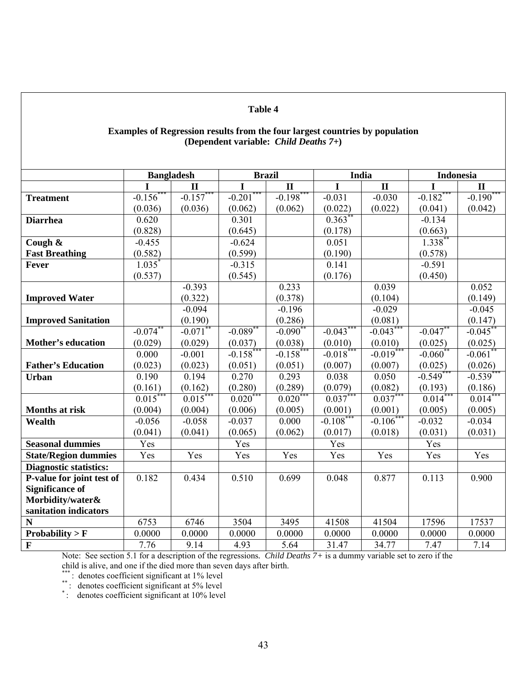#### **Examples of Regression results from the four largest countries by population (Dependent variable:** *Child Deaths 7+***)**

|                               | <b>Bangladesh</b>    |              | <b>Brazil</b> |                       | India                 |                       | <b>Indonesia</b> |                       |
|-------------------------------|----------------------|--------------|---------------|-----------------------|-----------------------|-----------------------|------------------|-----------------------|
|                               |                      | $\mathbf{I}$ | I             | $\mathbf{I}$          | I                     | $\mathbf{I}$          | I                | $\mathbf{I}$          |
| <b>Treatment</b>              | $-0.156^*$           | $-0.157***$  | $-0.201$      | $-0.198$ **           | $-0.031$              | $-0.030$              | $-0.182$ **      | $-0.190$ **           |
|                               | (0.036)              | (0.036)      | (0.062)       | (0.062)               | (0.022)               | (0.022)               | (0.041)          | (0.042)               |
| <b>Diarrhea</b>               | 0.620                |              | 0.301         |                       | $0.363$ **            |                       | $-0.134$         |                       |
|                               | (0.828)              |              | (0.645)       |                       | (0.178)               |                       | (0.663)          |                       |
| Cough &                       | $-0.455$             |              | $-0.624$      |                       | 0.051                 |                       | $1.338^{**}$     |                       |
| <b>Fast Breathing</b>         | (0.582)              |              | (0.599)       |                       | (0.190)               |                       | (0.578)          |                       |
| Fever                         | $1.035$ <sup>*</sup> |              | $-0.315$      |                       | 0.141                 |                       | $-0.591$         |                       |
|                               | (0.537)              |              | (0.545)       |                       | (0.176)               |                       | (0.450)          |                       |
|                               |                      | $-0.393$     |               | 0.233                 |                       | 0.039                 |                  | 0.052                 |
| <b>Improved Water</b>         |                      | (0.322)      |               | (0.378)               |                       | (0.104)               |                  | (0.149)               |
|                               |                      | $-0.094$     |               | $-0.196$              |                       | $-0.029$              |                  | $-0.045$              |
| <b>Improved Sanitation</b>    |                      | (0.190)      |               | (0.286)               |                       | (0.081)               |                  | (0.147)               |
|                               | $-0.074$ **          | $-0.071$ **  | $-0.089$ **   | $-0.090**$            | $-0.043***$           | $-0.043***$           | $-0.047$ **      | $-0.045$ **           |
| <b>Mother's education</b>     | (0.029)              | (0.029)      | (0.037)       | (0.038)               | (0.010)               | (0.010)               | (0.025)          | (0.025)               |
|                               | 0.000                | $-0.001$     | $-0.158$      | $-0.158$ <sup>*</sup> | $-0.018$ <sup>*</sup> | $-0.019$ <sup>*</sup> | $-0.060^{\circ}$ | $-0.061$ <sup>*</sup> |
| <b>Father's Education</b>     | (0.023)              | (0.023)      | (0.051)       | (0.051)               | (0.007)               | (0.007)               | (0.025)          | (0.026)               |
| <b>Urban</b>                  | 0.190                | 0.194        | 0.270         | 0.293                 | 0.038                 | 0.050                 | $-0.549***$      | $-0.539$ *            |
|                               | (0.161)              | (0.162)      | (0.280)       | (0.289)               | (0.079)               | (0.082)               | (0.193)          | (0.186)               |
|                               | $0.015***$           | $0.015^{**}$ | $0.020***$    | $0.020***$            | $0.037***$            | $0.037***$            | $0.014***$       | $0.014***$            |
| Months at risk                | (0.004)              | (0.004)      | (0.006)       | (0.005)               | (0.001)               | (0.001)               | (0.005)          | (0.005)               |
| Wealth                        | $-0.056$             | $-0.058$     | $-0.037$      | 0.000                 | $-0.108$ ***          | $-0.106$              | $-0.032$         | $-0.034$              |
|                               | (0.041)              | (0.041)      | (0.065)       | (0.062)               | (0.017)               | (0.018)               | (0.031)          | (0.031)               |
| <b>Seasonal dummies</b>       | Yes                  |              | Yes           |                       | Yes                   |                       | Yes              |                       |
| <b>State/Region dummies</b>   | Yes                  | Yes          | Yes           | Yes                   | Yes                   | Yes                   | Yes              | Yes                   |
| <b>Diagnostic statistics:</b> |                      |              |               |                       |                       |                       |                  |                       |
| P-value for joint test of     | 0.182                | 0.434        | 0.510         | $\overline{0.699}$    | 0.048                 | 0.877                 | 0.113            | 0.900                 |
| <b>Significance of</b>        |                      |              |               |                       |                       |                       |                  |                       |
| Morbidity/water&              |                      |              |               |                       |                       |                       |                  |                       |
| sanitation indicators         |                      |              |               |                       |                       |                       |                  |                       |
| $\mathbf N$                   | 6753                 | 6746         | 3504          | 3495                  | 41508                 | 41504                 | 17596            | 17537                 |
| Probability > $F$             | 0.0000               | 0.0000       | 0.0000        | 0.0000                | 0.0000                | 0.0000                | 0.0000           | 0.0000                |
| $\mathbf{F}$                  | 7.76                 | 9.14         | 4.93          | 5.64                  | 31.47                 | 34.77                 | 7.47             | 7.14                  |

Note: See section 5.1 for a description of the regressions*. Child Deaths 7+* is a dummy variable set to zero if the child is alive, and one if the died more than seven days after birth.

\*\*\* : denotes coefficient significant at 1% level<br>\*\* : denotes coefficient significant at 5% level<br>\* : denotes coefficient significant at 10% level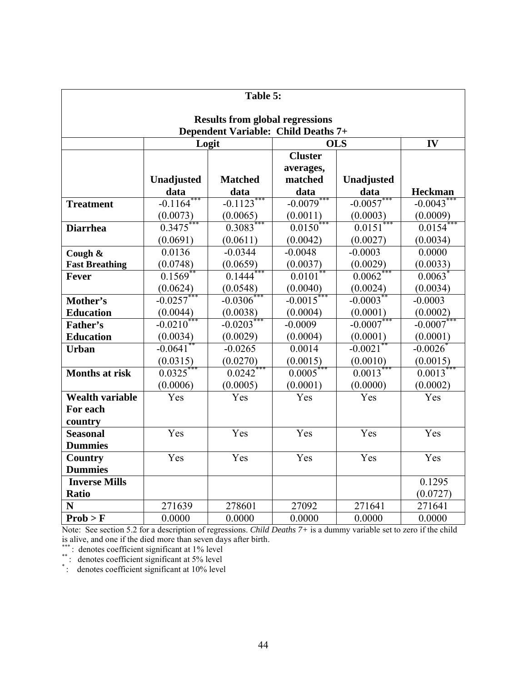|                        |                           | Table $5:$                             |                        |                        |                        |  |  |
|------------------------|---------------------------|----------------------------------------|------------------------|------------------------|------------------------|--|--|
|                        |                           | <b>Results from global regressions</b> |                        |                        |                        |  |  |
|                        |                           | Dependent Variable: Child Deaths 7+    |                        |                        |                        |  |  |
|                        | <b>OLS</b><br>IV<br>Logit |                                        |                        |                        |                        |  |  |
|                        |                           |                                        | <b>Cluster</b>         |                        |                        |  |  |
|                        |                           |                                        | averages,              |                        |                        |  |  |
|                        | Unadjusted                | <b>Matched</b>                         | matched                | Unadjusted             |                        |  |  |
|                        | data                      | data                                   | data                   | data                   | <b>Heckman</b>         |  |  |
| <b>Treatment</b>       | $-0.1164$ <sup>*</sup>    | $-0.1123$                              | $-0.0079$              | $-0.0057$              | $-0.0043$              |  |  |
|                        | (0.0073)                  | (0.0065)                               | (0.0011)               | (0.0003)               | (0.0009)               |  |  |
| <b>Diarrhea</b>        | 0.3475                    | 0.3083                                 | $0.0150^*$             | 0.0151                 | 0.0154                 |  |  |
|                        | (0.0691)                  | (0.0611)                               | (0.0042)               | (0.0027)               | (0.0034)               |  |  |
| Cough &                | 0.0136                    | $-0.0344$                              | $-0.0048$              | $-0.0003$              | 0.0000                 |  |  |
| <b>Fast Breathing</b>  | (0.0748)                  | (0.0659)                               | (0.0037)               | (0.0029)               | (0.0033)               |  |  |
| <b>Fever</b>           | 0.1569                    | 0.1444                                 | 0.0101                 | 0.0062                 | $0.0063$ <sup>*</sup>  |  |  |
|                        | (0.0624)                  | (0.0548)                               | (0.0040)               | (0.0024)               | (0.0034)               |  |  |
| Mother's               | $-0.0257$                 | $-0.0306$                              | $-0.0015$ <sup>*</sup> | $-0.0003$ <sup>*</sup> | $-0.0003$              |  |  |
| <b>Education</b>       | (0.0044)                  | (0.0038)                               | (0.0004)               | (0.0001)               | (0.0002)               |  |  |
| Father's               | $-0.0210^*$               | $-0.0203$ <sup>*</sup>                 | $-0.0009$              | $-0.0007$ **           | $-0.0007$              |  |  |
| <b>Education</b>       | (0.0034)                  | (0.0029)                               | (0.0004)               | (0.0001)               | (0.0001)               |  |  |
| <b>Urban</b>           | $-0.0641$ <sup>*</sup>    | $-0.0265$                              | 0.0014                 | $-0.0021$ <sup>*</sup> | $-0.0026$ <sup>*</sup> |  |  |
|                        | (0.0315)                  | (0.0270)                               | (0.0015)               | (0.0010)               | (0.0015)               |  |  |
| <b>Months at risk</b>  | 0.0325                    | 0.0242                                 | 0.0005                 | 0.0013                 | 0.0013                 |  |  |
|                        | (0.0006)                  | (0.0005)                               | (0.0001)               | (0.0000)               | (0.0002)               |  |  |
| <b>Wealth variable</b> | Yes                       | Yes                                    | Yes                    | Yes                    | Yes                    |  |  |
| For each               |                           |                                        |                        |                        |                        |  |  |
| country                |                           |                                        |                        |                        |                        |  |  |
| <b>Seasonal</b>        | Yes                       | Yes                                    | Yes                    | Yes                    | Yes                    |  |  |
| <b>Dummies</b>         |                           |                                        |                        |                        |                        |  |  |
| <b>Country</b>         | Yes                       | Yes                                    | Yes                    | Yes                    | Yes                    |  |  |
| <b>Dummies</b>         |                           |                                        |                        |                        |                        |  |  |
| <b>Inverse Mills</b>   |                           |                                        |                        |                        | 0.1295                 |  |  |
| <b>Ratio</b>           |                           |                                        |                        |                        | (0.0727)               |  |  |
| N                      | 271639                    | 278601                                 | 27092                  | 271641                 | 271641                 |  |  |
| Prob > F               | 0.0000                    | 0.0000                                 | 0.0000                 | 0.0000                 | 0.0000                 |  |  |

Note: See section 5.2 for a description of regressions. *Child Deaths 7+* is a dummy variable set to zero if the child is alive, and one if the died more than seven days after birth.

\*\*\* : denotes coefficient significant at 1% level<br>\*\* : denotes coefficient significant at 5% level<br>\* : denotes coefficient significant at 10% level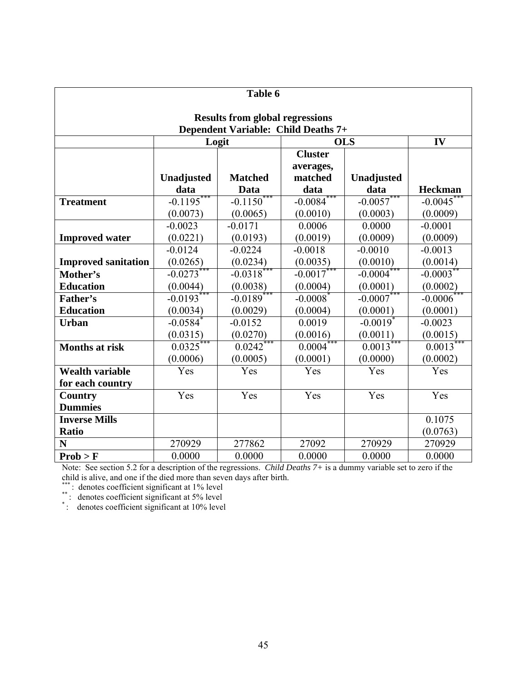|                                        | Table 6                             |                |                        |                        |                        |  |  |  |
|----------------------------------------|-------------------------------------|----------------|------------------------|------------------------|------------------------|--|--|--|
| <b>Results from global regressions</b> |                                     |                |                        |                        |                        |  |  |  |
|                                        | Dependent Variable: Child Deaths 7+ |                |                        |                        |                        |  |  |  |
|                                        | Logit                               |                | <b>OLS</b>             | IV                     |                        |  |  |  |
|                                        |                                     |                | <b>Cluster</b>         |                        |                        |  |  |  |
|                                        |                                     |                | averages,              |                        |                        |  |  |  |
|                                        | Unadjusted                          | <b>Matched</b> | matched                | Unadjusted             |                        |  |  |  |
|                                        | data                                | Data           | data                   | data                   | Heckman                |  |  |  |
| <b>Treatment</b>                       | $-0.1195$                           | $-0.1150***$   | $-0.0084$ ***          | $-0.0057***$           | $-0.0045$              |  |  |  |
|                                        | (0.0073)                            | (0.0065)       | (0.0010)               | (0.0003)               | (0.0009)               |  |  |  |
|                                        | $-0.0023$                           | $-0.0171$      | 0.0006                 | 0.0000                 | $-0.0001$              |  |  |  |
| <b>Improved water</b>                  | (0.0221)                            | (0.0193)       | (0.0019)               | (0.0009)               | (0.0009)               |  |  |  |
|                                        | $-0.0124$                           | $-0.0224$      | $-0.0018$              | $-0.0010$              | $-0.0013$              |  |  |  |
| <b>Improved sanitation</b>             | (0.0265)                            | (0.0234)       | (0.0035)               | (0.0010)               | (0.0014)               |  |  |  |
| Mother's                               | $-0.0273$                           | $-0.0318$      | $-0.0017$              | $-0.0004$              | $-0.0003$ <sup>*</sup> |  |  |  |
| <b>Education</b>                       | (0.0044)                            | (0.0038)       | (0.0004)               | (0.0001)               | (0.0002)               |  |  |  |
| Father's                               | $-0.0193$ ***                       | $-0.0189$ ***  | $-0.0008$ <sup>*</sup> | $-0.0007***$           | $-0.0006$ <sup>*</sup> |  |  |  |
| <b>Education</b>                       | (0.0034)                            | (0.0029)       | (0.0004)               | (0.0001)               | (0.0001)               |  |  |  |
| <b>Urban</b>                           | $-0.0584$ <sup>*</sup>              | $-0.0152$      | 0.0019                 | $-0.0019$ <sup>*</sup> | $-0.0023$              |  |  |  |
|                                        | (0.0315)                            | (0.0270)       | (0.0016)               | (0.0011)               | (0.0015)               |  |  |  |
| <b>Months at risk</b>                  | 0.0325                              | 0.0242         | $0.0004$ <sup>*</sup>  | $0.0013$ <sup>*</sup>  | 0.0013                 |  |  |  |
|                                        | (0.0006)                            | (0.0005)       | (0.0001)               | (0.0000)               | (0.0002)               |  |  |  |
| <b>Wealth variable</b>                 | Yes                                 | Yes            | Yes                    | Yes                    | Yes                    |  |  |  |
| for each country                       |                                     |                |                        |                        |                        |  |  |  |
| <b>Country</b>                         | Yes                                 | Yes            | Yes                    | Yes                    | Yes                    |  |  |  |
| <b>Dummies</b>                         |                                     |                |                        |                        |                        |  |  |  |
| <b>Inverse Mills</b>                   |                                     |                |                        |                        | 0.1075                 |  |  |  |
| <b>Ratio</b>                           |                                     |                |                        |                        | (0.0763)               |  |  |  |
| N                                      | 270929                              | 277862         | 27092                  | 270929                 | 270929                 |  |  |  |
| Prob > F                               | 0.0000                              | 0.0000         | 0.0000                 | 0.0000                 | 0.0000                 |  |  |  |

Note: See section 5.2 for a description of the regressions. *Child Deaths 7+* is a dummy variable set to zero if the child is alive, and one if the died more than seven days after birth.

\*\*\* : denotes coefficient significant at 1% level<br>\*\* : denotes coefficient significant at 5% level<br>\* : denotes coefficient significant at 10% level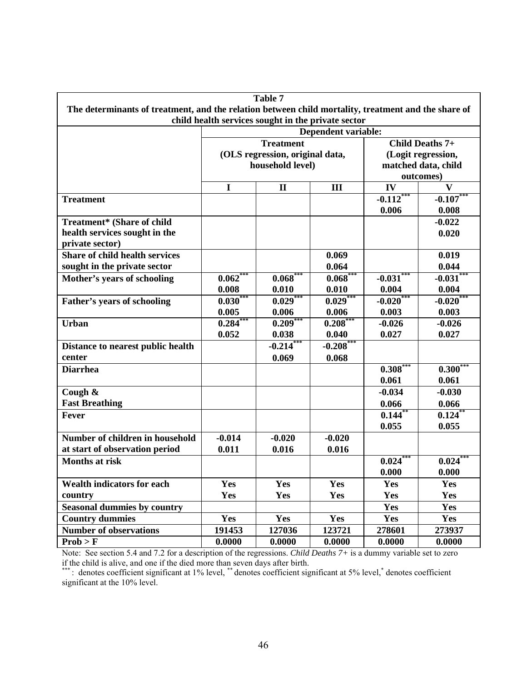|                                                                                                     |            | Table 7                                             |                                                    |              |                                           |  |  |  |
|-----------------------------------------------------------------------------------------------------|------------|-----------------------------------------------------|----------------------------------------------------|--------------|-------------------------------------------|--|--|--|
| The determinants of treatment, and the relation between child mortality, treatment and the share of |            |                                                     |                                                    |              |                                           |  |  |  |
|                                                                                                     |            |                                                     | child health services sought in the private sector |              |                                           |  |  |  |
|                                                                                                     |            | Dependent variable:<br>Child Deaths 7+              |                                                    |              |                                           |  |  |  |
|                                                                                                     |            | <b>Treatment</b>                                    |                                                    |              |                                           |  |  |  |
|                                                                                                     |            | (OLS regression, original data,<br>household level) |                                                    |              | (Logit regression,<br>matched data, child |  |  |  |
|                                                                                                     |            |                                                     |                                                    |              | outcomes)                                 |  |  |  |
|                                                                                                     | I          | $\mathbf{I}$                                        | III                                                | IV           | V                                         |  |  |  |
| <b>Treatment</b>                                                                                    |            |                                                     |                                                    | $-0.112$ *** | $-0.107***$                               |  |  |  |
|                                                                                                     |            |                                                     |                                                    | 0.006        | 0.008                                     |  |  |  |
| Treatment* (Share of child                                                                          |            |                                                     |                                                    |              | $-0.022$                                  |  |  |  |
| health services sought in the                                                                       |            |                                                     |                                                    |              | 0.020                                     |  |  |  |
| private sector)                                                                                     |            |                                                     |                                                    |              |                                           |  |  |  |
| <b>Share of child health services</b>                                                               |            |                                                     | 0.069                                              |              | 0.019                                     |  |  |  |
| sought in the private sector                                                                        |            |                                                     | 0.064                                              |              | 0.044                                     |  |  |  |
| Mother's years of schooling                                                                         | $0.062***$ | $0.068***$                                          | $0.068***$                                         | $-0.031***$  | $-0.031***$                               |  |  |  |
|                                                                                                     | 0.008      | 0.010                                               | 0.010                                              | 0.004        | 0.004                                     |  |  |  |
| Father's years of schooling                                                                         | $0.030***$ | $0.029***$                                          | $0.029***$                                         | $-0.020***$  | $-0.020***$                               |  |  |  |
|                                                                                                     | 0.005      | 0.006                                               | 0.006                                              | 0.003        | 0.003                                     |  |  |  |
| <b>Urban</b>                                                                                        | $0.284***$ | $0.209***$                                          | $0.208***$                                         | $-0.026$     | $-0.026$                                  |  |  |  |
|                                                                                                     | 0.052      | 0.038                                               | 0.040                                              | 0.027        | 0.027                                     |  |  |  |
| Distance to nearest public health                                                                   |            | $-0.214$                                            | $-0.208$ ***                                       |              |                                           |  |  |  |
| center                                                                                              |            | 0.069                                               | 0.068                                              |              |                                           |  |  |  |
| <b>Diarrhea</b>                                                                                     |            |                                                     |                                                    | $0.308^{*}$  | 0.300                                     |  |  |  |
|                                                                                                     |            |                                                     |                                                    | 0.061        | 0.061                                     |  |  |  |
| Cough &                                                                                             |            |                                                     |                                                    | $-0.034$     | $-0.030$                                  |  |  |  |
| <b>Fast Breathing</b>                                                                               |            |                                                     |                                                    | 0.066        | 0.066                                     |  |  |  |
| <b>Fever</b>                                                                                        |            |                                                     |                                                    | 0.144        | $0.124$ **                                |  |  |  |
|                                                                                                     |            |                                                     |                                                    | 0.055        | 0.055                                     |  |  |  |
| Number of children in household                                                                     | $-0.014$   | $-0.020$                                            | $-0.020$                                           |              |                                           |  |  |  |
| at start of observation period                                                                      | 0.011      | 0.016                                               | 0.016                                              |              |                                           |  |  |  |
| <b>Months at risk</b>                                                                               |            |                                                     |                                                    | $0.024***$   | $0.024***$                                |  |  |  |
|                                                                                                     |            |                                                     |                                                    | 0.000        | 0.000                                     |  |  |  |
| <b>Wealth indicators for each</b>                                                                   | Yes        | Yes                                                 | Yes                                                | Yes          | Yes                                       |  |  |  |
| country                                                                                             | Yes        | Yes                                                 | Yes                                                | Yes          | Yes                                       |  |  |  |
| <b>Seasonal dummies by country</b>                                                                  |            |                                                     |                                                    | Yes          | Yes                                       |  |  |  |
| <b>Country dummies</b>                                                                              | Yes        | Yes                                                 | Yes                                                | Yes          | Yes                                       |  |  |  |
| <b>Number of observations</b>                                                                       | 191453     | 127036                                              | 123721                                             | 278601       | 273937                                    |  |  |  |
| Prob > F                                                                                            | 0.0000     | 0.0000                                              | 0.0000                                             | 0.0000       | 0.0000                                    |  |  |  |

Note: See section 5.4 and 7.2 for a description of the regressions. *Child Deaths 7+* is a dummy variable set to zero if the child is alive, and one if the died more than seven days after birth.

\*\*\*: denotes coefficient significant at 1% level, \*\* denotes coefficient significant at 5% level,\* denotes coefficient significant at the 10% level.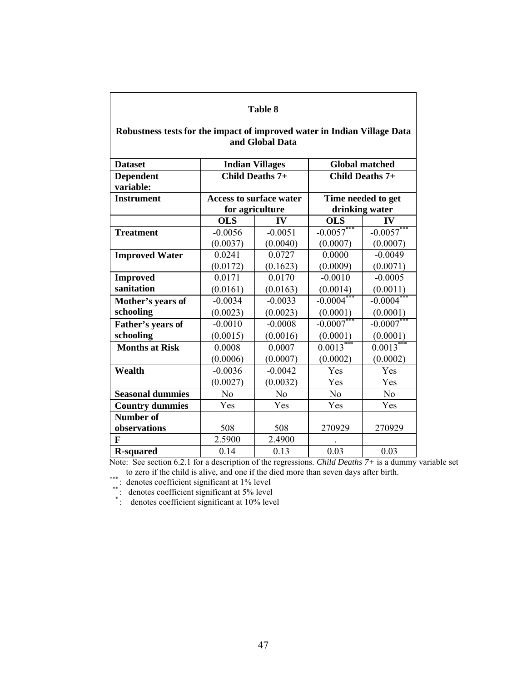| Table 8                                                                  |                                |                 |                           |                        |  |
|--------------------------------------------------------------------------|--------------------------------|-----------------|---------------------------|------------------------|--|
| Robustness tests for the impact of improved water in Indian Village Data |                                | and Global Data |                           |                        |  |
| <b>Dataset</b>                                                           | <b>Indian Villages</b>         |                 |                           | <b>Global matched</b>  |  |
| <b>Dependent</b><br>variable:                                            | Child Deaths 7+                |                 |                           | Child Deaths 7+        |  |
| <b>Instrument</b>                                                        | <b>Access to surface water</b> |                 |                           | Time needed to get     |  |
|                                                                          | for agriculture                |                 |                           | drinking water         |  |
|                                                                          | <b>OLS</b>                     | $\bf{IV}$       | <b>OLS</b>                | IV                     |  |
| <b>Treatment</b>                                                         | $-0.0056$                      | $-0.0051$       | $-0.0057***$              | $-0.0057***$           |  |
|                                                                          | (0.0037)                       | (0.0040)        | (0.0007)                  | (0.0007)               |  |
| <b>Improved Water</b>                                                    | 0.0241                         | 0.0727          | 0.0000                    | $-0.0049$              |  |
|                                                                          | (0.0172)                       | (0.1623)        | (0.0009)                  | (0.0071)               |  |
| <b>Improved</b>                                                          | 0.0171                         | 0.0170          | $-0.0010$                 | $-0.0005$              |  |
| sanitation                                                               | (0.0161)                       | (0.0163)        | (0.0014)                  | (0.0011)               |  |
| Mother's years of                                                        | $-0.0034$                      | $-0.0033$       | $-0.0004$ <sup>*</sup>    | $-0.0004$ <sup>*</sup> |  |
| schooling                                                                | (0.0023)                       | (0.0023)        | (0.0001)                  | (0.0001)               |  |
| Father's years of                                                        | $-0.0010$                      | $-0.0008$       | $-0.0007***$              | $-0.0007***$           |  |
| schooling                                                                | (0.0015)                       | (0.0016)        | (0.0001)                  | (0.0001)               |  |
| <b>Months at Risk</b>                                                    | 0.0008                         | 0.0007          | $0.00\overline{13}^{***}$ | $0.0013***$            |  |
|                                                                          | (0.0006)                       | (0.0007)        | (0.0002)                  | (0.0002)               |  |
| Wealth                                                                   | $-0.0036$                      | $-0.0042$       | Yes                       | Yes                    |  |
|                                                                          | (0.0027)                       | (0.0032)        | Yes                       | Yes                    |  |
| <b>Seasonal dummies</b>                                                  | N <sub>0</sub>                 | N <sub>o</sub>  | N <sub>o</sub>            | N <sub>0</sub>         |  |
| <b>Country dummies</b>                                                   | Yes                            | Yes             | Yes                       | Yes                    |  |
| Number of                                                                |                                |                 |                           |                        |  |
| observations                                                             | 508                            | 508             | 270929                    | 270929                 |  |
| $\mathbf{F}$                                                             | 2.5900                         | 2.4900          |                           |                        |  |
| <b>R-squared</b>                                                         | 0.14                           | 0.13            | 0.03                      | 0.03                   |  |

Note: See section 6.2.1 for a description of the regressions. *Child Deaths 7+* is a dummy variable set

From the set section 0.2.1 for a description of the regressions. Changements 7+ is a dur-<br>to zero if the child is alive, and one if the died more than seven days after birth.<br>\*\*\*: denotes coefficient significant at  $1\%$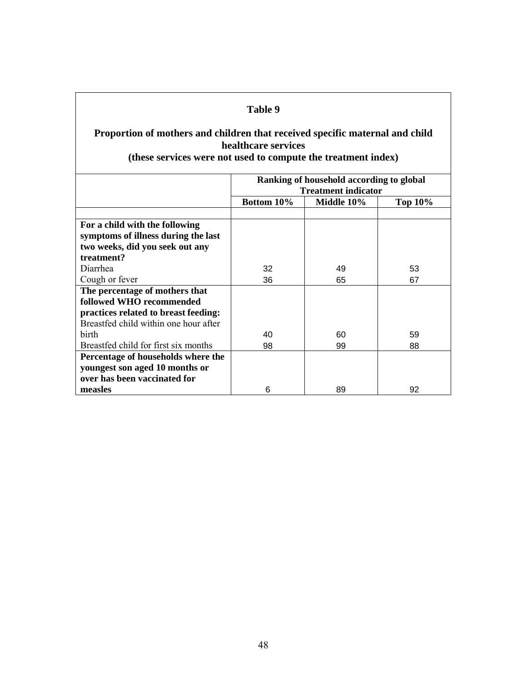# **Proportion of mothers and children that received specific maternal and child healthcare services**

## **(these services were not used to compute the treatment index)**

|                                       | Ranking of household according to global<br><b>Treatment indicator</b> |                              |    |  |  |  |  |
|---------------------------------------|------------------------------------------------------------------------|------------------------------|----|--|--|--|--|
|                                       | Bottom 10%                                                             | Middle 10%<br><b>Top 10%</b> |    |  |  |  |  |
|                                       |                                                                        |                              |    |  |  |  |  |
| For a child with the following        |                                                                        |                              |    |  |  |  |  |
| symptoms of illness during the last   |                                                                        |                              |    |  |  |  |  |
| two weeks, did you seek out any       |                                                                        |                              |    |  |  |  |  |
| treatment?                            |                                                                        |                              |    |  |  |  |  |
| Diarrhea                              | 32                                                                     | 49                           | 53 |  |  |  |  |
| Cough or fever                        | 36                                                                     | 65                           | 67 |  |  |  |  |
| The percentage of mothers that        |                                                                        |                              |    |  |  |  |  |
| followed WHO recommended              |                                                                        |                              |    |  |  |  |  |
| practices related to breast feeding:  |                                                                        |                              |    |  |  |  |  |
| Breastfed child within one hour after |                                                                        |                              |    |  |  |  |  |
| <b>birth</b>                          | 40                                                                     | 60                           | 59 |  |  |  |  |
| Breastfed child for first six months  | 98                                                                     | 99                           | 88 |  |  |  |  |
| Percentage of households where the    |                                                                        |                              |    |  |  |  |  |
| youngest son aged 10 months or        |                                                                        |                              |    |  |  |  |  |
| over has been vaccinated for          |                                                                        |                              |    |  |  |  |  |
| measles                               | 6                                                                      | 89                           | 92 |  |  |  |  |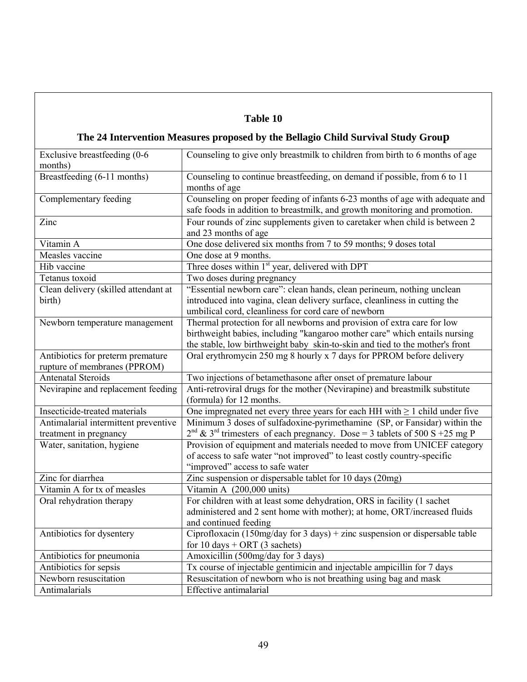# **The 24 Intervention Measures proposed by the Bellagio Child Survival Study Group**

| Exclusive breastfeeding (0-6<br>months)                           | Counseling to give only breastmilk to children from birth to 6 months of age                                                                                                                                                          |
|-------------------------------------------------------------------|---------------------------------------------------------------------------------------------------------------------------------------------------------------------------------------------------------------------------------------|
| Breastfeeding (6-11 months)                                       | Counseling to continue breastfeeding, on demand if possible, from 6 to 11<br>months of age                                                                                                                                            |
| Complementary feeding                                             | Counseling on proper feeding of infants 6-23 months of age with adequate and<br>safe foods in addition to breastmilk, and growth monitoring and promotion.                                                                            |
| Zinc                                                              | Four rounds of zinc supplements given to caretaker when child is between 2<br>and 23 months of age                                                                                                                                    |
| Vitamin A                                                         | One dose delivered six months from 7 to 59 months; 9 doses total                                                                                                                                                                      |
| Measles vaccine                                                   | One dose at 9 months.                                                                                                                                                                                                                 |
| Hib vaccine                                                       | Three doses within 1 <sup>st</sup> year, delivered with DPT                                                                                                                                                                           |
| Tetanus toxoid                                                    | Two doses during pregnancy                                                                                                                                                                                                            |
| Clean delivery (skilled attendant at<br>birth)                    | "Essential newborn care": clean hands, clean perineum, nothing unclean<br>introduced into vagina, clean delivery surface, cleanliness in cutting the<br>umbilical cord, cleanliness for cord care of newborn                          |
| Newborn temperature management                                    | Thermal protection for all newborns and provision of extra care for low<br>birthweight babies, including "kangaroo mother care" which entails nursing<br>the stable, low birthweight baby skin-to-skin and tied to the mother's front |
| Antibiotics for preterm premature<br>rupture of membranes (PPROM) | Oral erythromycin 250 mg 8 hourly x 7 days for PPROM before delivery                                                                                                                                                                  |
| <b>Antenatal Steroids</b>                                         | Two injections of betamethasone after onset of premature labour                                                                                                                                                                       |
| Nevirapine and replacement feeding                                | Anti-retroviral drugs for the mother (Nevirapine) and breastmilk substitute<br>(formula) for 12 months.                                                                                                                               |
| Insecticide-treated materials                                     | One impregnated net every three years for each HH with $\geq 1$ child under five                                                                                                                                                      |
| Antimalarial intermittent preventive<br>treatment in pregnancy    | Minimum 3 doses of sulfadoxine-pyrimethamine (SP, or Fansidar) within the<br>$2^{nd}$ & 3 <sup>rd</sup> trimesters of each pregnancy. Dose = 3 tablets of 500 S +25 mg P                                                              |
| Water, sanitation, hygiene                                        | Provision of equipment and materials needed to move from UNICEF category<br>of access to safe water "not improved" to least costly country-specific<br>"improved" access to safe water                                                |
| Zinc for diarrhea                                                 | Zinc suspension or dispersable tablet for 10 days (20mg)                                                                                                                                                                              |
| Vitamin A for tx of measles                                       | Vitamin A (200,000 units)                                                                                                                                                                                                             |
| Oral rehydration therapy                                          | For children with at least some dehydration, ORS in facility (1 sachet<br>administered and 2 sent home with mother); at home, ORT/increased fluids<br>and continued feeding                                                           |
| Antibiotics for dysentery                                         | Ciprofloxacin (150mg/day for 3 days) + zinc suspension or dispersable table<br>for 10 days + ORT (3 sachets)                                                                                                                          |
| Antibiotics for pneumonia                                         | Amoxicillin (500mg/day for 3 days)                                                                                                                                                                                                    |
| Antibiotics for sepsis                                            | Tx course of injectable gentimicin and injectable ampicillin for 7 days                                                                                                                                                               |
| Newborn resuscitation                                             | Resuscitation of newborn who is not breathing using bag and mask                                                                                                                                                                      |
| Antimalarials                                                     | <b>Effective</b> antimalarial                                                                                                                                                                                                         |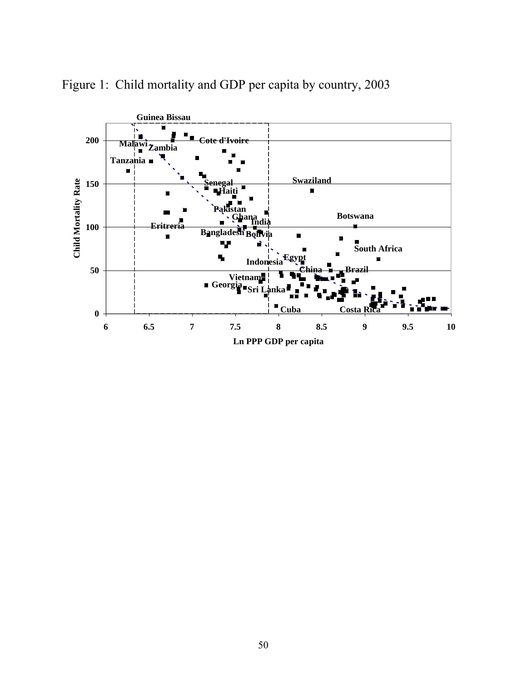

Figure 1: Child mortality and GDP per capita by country, 2003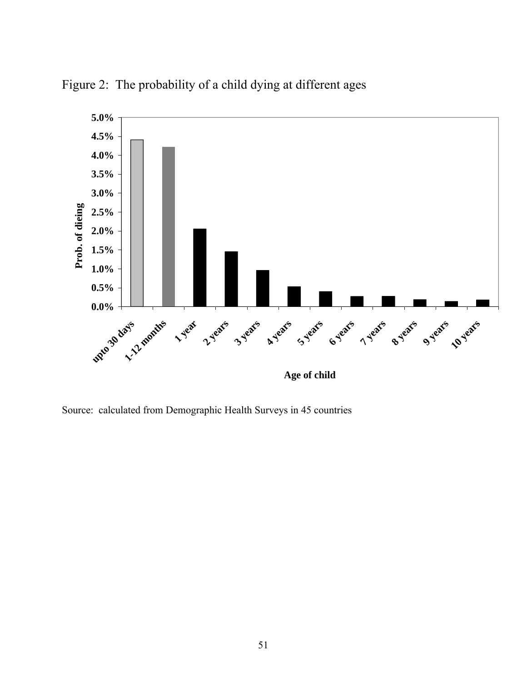



Source: calculated from Demographic Health Surveys in 45 countries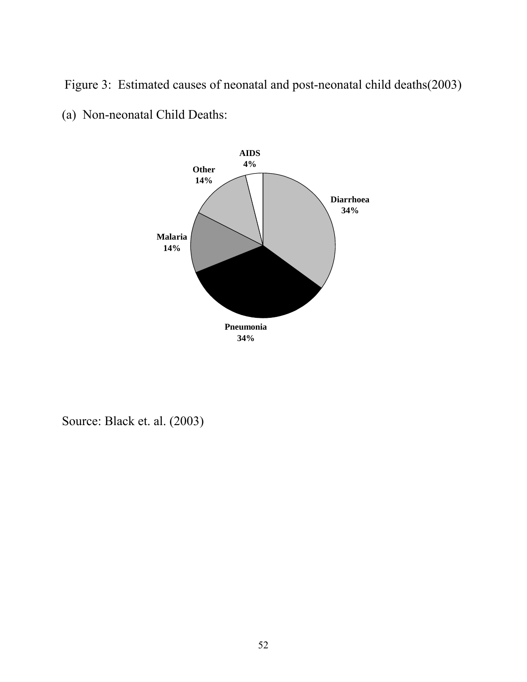Figure 3: Estimated causes of neonatal and post-neonatal child deaths(2003) (a) Non-neonatal Child Deaths:



Source: Black et. al. (2003)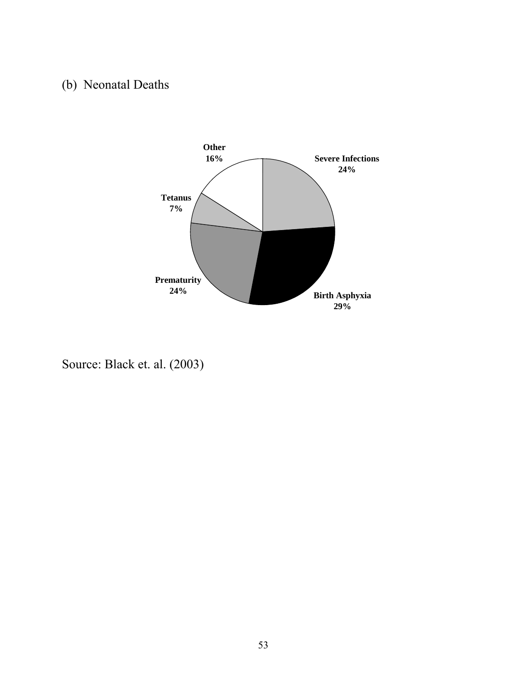# (b) Neonatal Deaths



Source: Black et. al. (2003)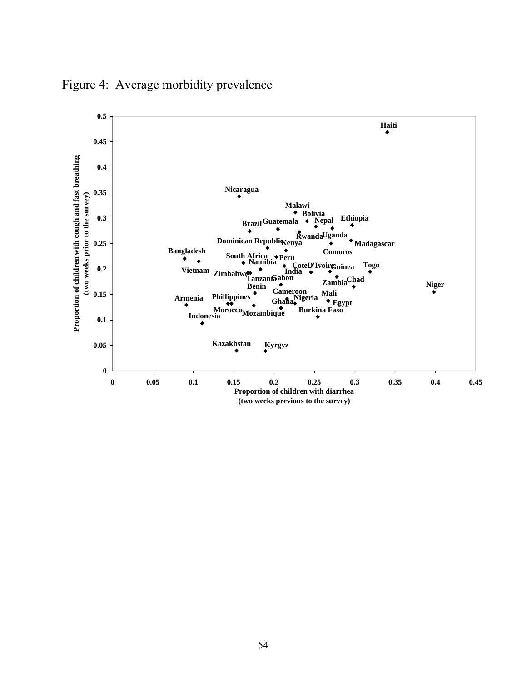

Figure 4: Average morbidity prevalence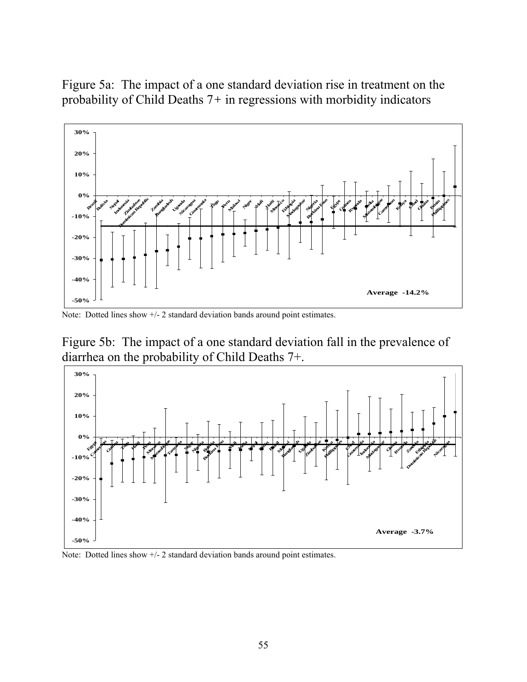Figure 5a: The impact of a one standard deviation rise in treatment on the probability of Child Deaths 7*+* in regressions with morbidity indicators



Note: Dotted lines show  $+/- 2$  standard deviation bands around point estimates.

Figure 5b: The impact of a one standard deviation fall in the prevalence of diarrhea on the probability of Child Deaths 7+.



Note: Dotted lines show  $+/- 2$  standard deviation bands around point estimates.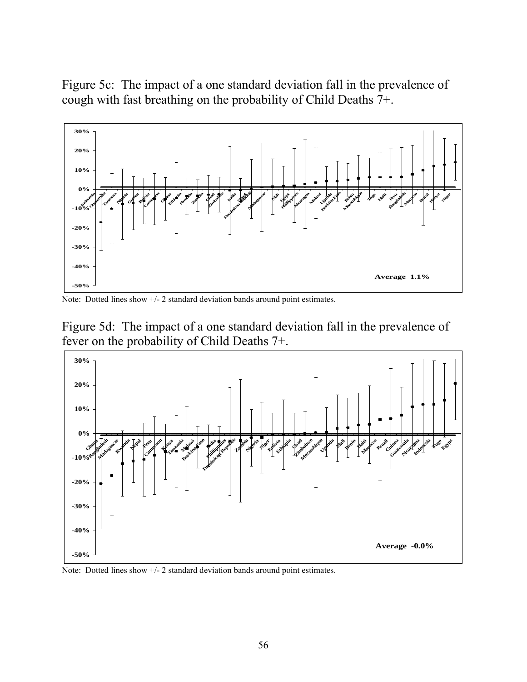Figure 5c: The impact of a one standard deviation fall in the prevalence of cough with fast breathing on the probability of Child Deaths 7+.



Note: Dotted lines show +/- 2 standard deviation bands around point estimates.





Note: Dotted lines show  $+/- 2$  standard deviation bands around point estimates.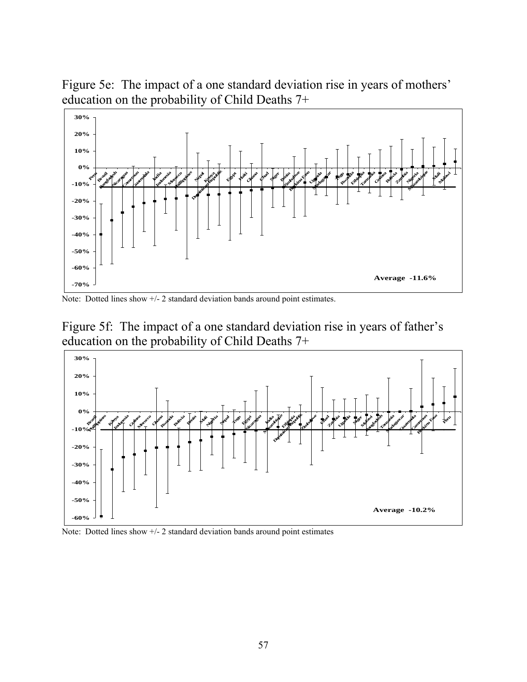Figure 5e: The impact of a one standard deviation rise in years of mothers' education on the probability of Child Deaths 7+



Note: Dotted lines show  $+/- 2$  standard deviation bands around point estimates.





Note: Dotted lines show +/- 2 standard deviation bands around point estimates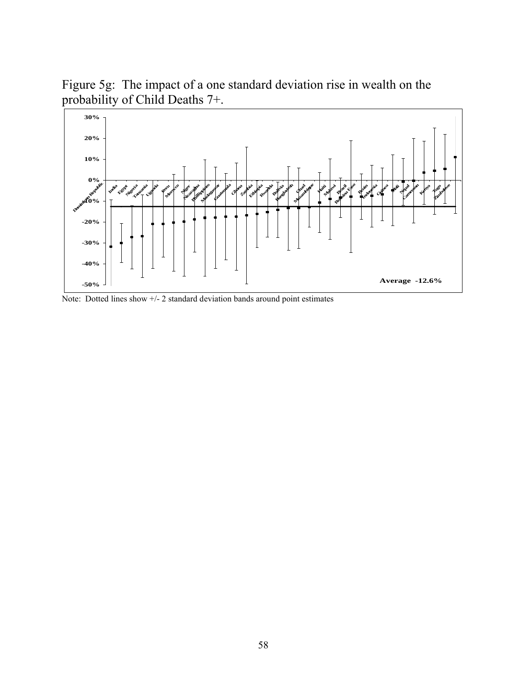Figure 5g: The impact of a one standard deviation rise in wealth on the probability of Child Deaths 7+.



Note: Dotted lines show +/- 2 standard deviation bands around point estimates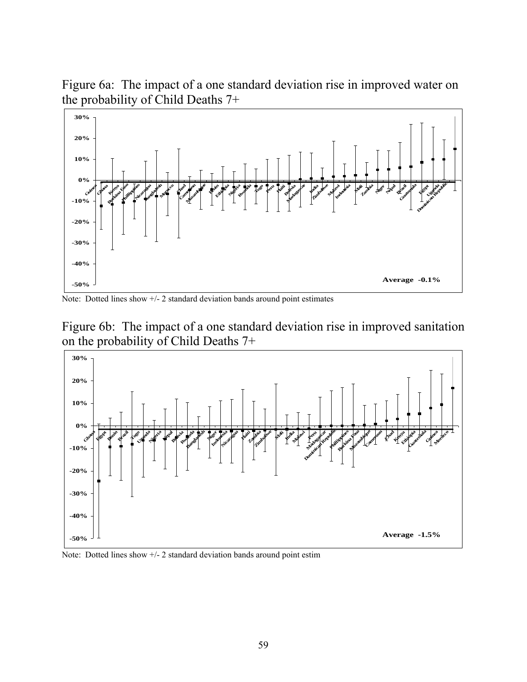Figure 6a: The impact of a one standard deviation rise in improved water on the probability of Child Deaths 7+



Note: Dotted lines show +/- 2 standard deviation bands around point estimates





Note: Dotted lines show  $+/-2$  standard deviation bands around point estim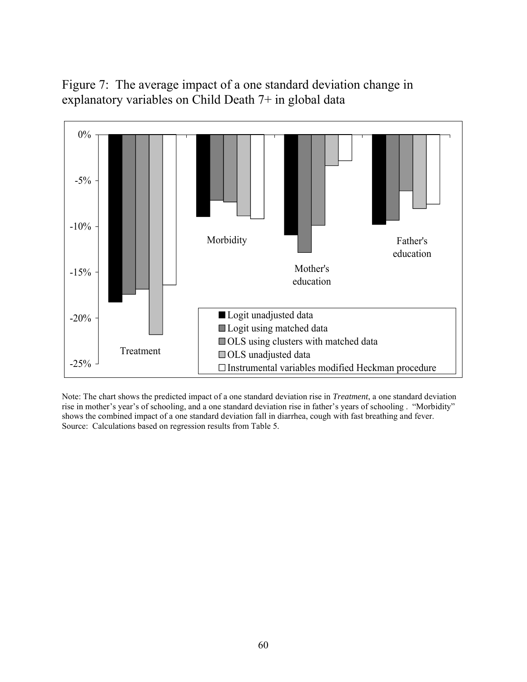Figure 7: The average impact of a one standard deviation change in explanatory variables on Child Death 7+ in global data



Note: The chart shows the predicted impact of a one standard deviation rise in *Treatment*, a one standard deviation rise in mother's year's of schooling, and a one standard deviation rise in father's years of schooling . "Morbidity" shows the combined impact of a one standard deviation fall in diarrhea, cough with fast breathing and fever. Source: Calculations based on regression results from Table 5.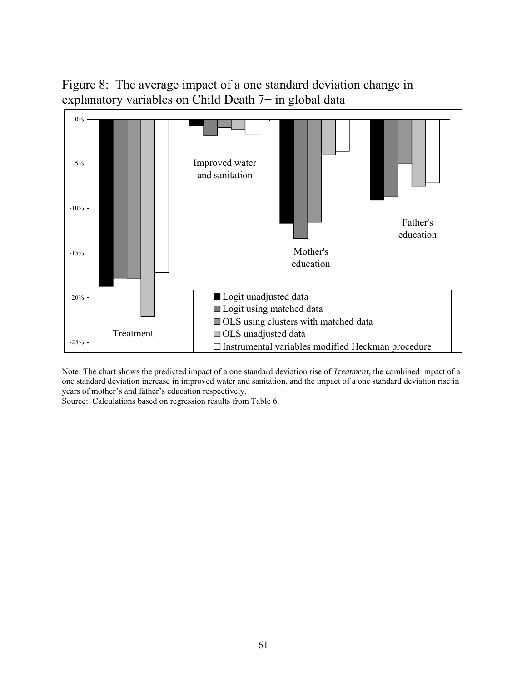Figure 8: The average impact of a one standard deviation change in explanatory variables on Child Death 7+ in global data



Note: The chart shows the predicted impact of a one standard deviation rise of *Treatment*, the combined impact of a one standard deviation increase in improved water and sanitation, and the impact of a one standard deviation rise in years of mother's and father's education respectively.

Source: Calculations based on regression results from Table 6.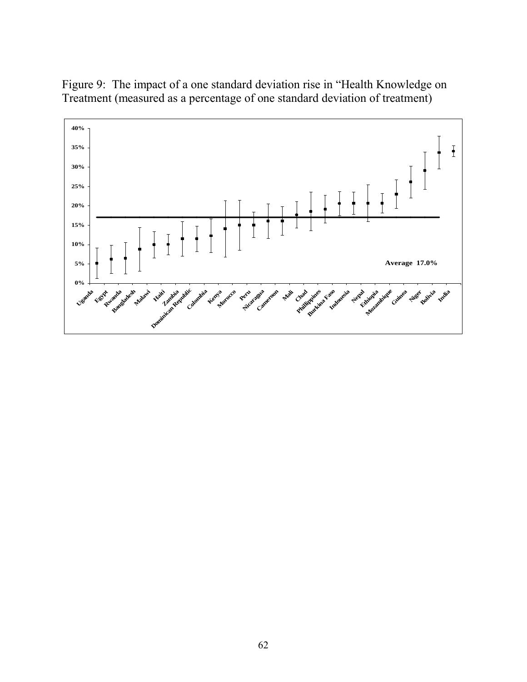Figure 9: The impact of a one standard deviation rise in "Health Knowledge on Treatment (measured as a percentage of one standard deviation of treatment)

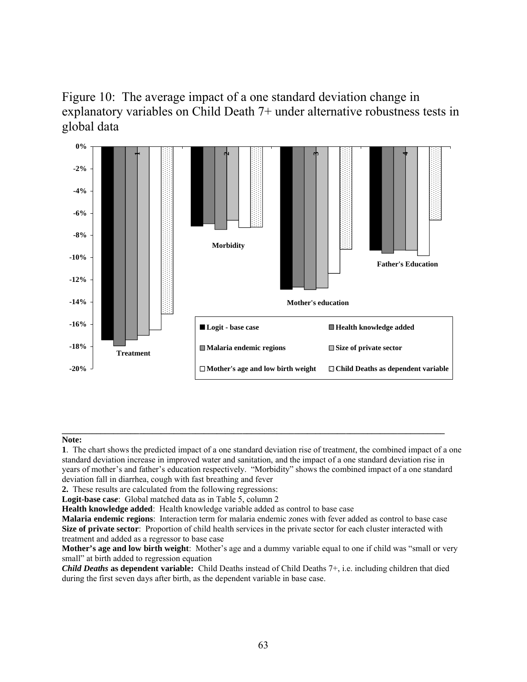# Figure 10: The average impact of a one standard deviation change in explanatory variables on Child Death 7+ under alternative robustness tests in global data



#### **Note:**

**1**. The chart shows the predicted impact of a one standard deviation rise of treatmen*t*, the combined impact of a one standard deviation increase in improved water and sanitation, and the impact of a one standard deviation rise in years of mother's and father's education respectively. "Morbidity" shows the combined impact of a one standard deviation fall in diarrhea, cough with fast breathing and fever

**\_\_\_\_\_\_\_\_\_\_\_\_\_\_\_\_\_\_\_\_\_\_\_\_\_\_\_\_\_\_\_\_\_\_\_\_\_\_\_\_\_\_\_\_\_\_\_\_\_\_\_\_\_\_\_\_\_\_\_\_\_\_\_\_\_\_\_\_\_\_\_\_\_\_\_\_\_\_\_\_\_\_\_\_\_\_\_\_\_**

**2.** These results are calculated from the following regressions:

**Logit-base cas***e*: Global matched data as in Table 5, column 2

**Health knowledge added**: Health knowledge variable added as control to base case

*Child Deaths* **as dependent variable:** Child Deaths instead of Child Deaths 7+, i.e. including children that died during the first seven days after birth, as the dependent variable in base case.

**Malaria endemic regions**: Interaction term for malaria endemic zones with fever added as control to base case **Size of private sector**: Proportion of child health services in the private sector for each cluster interacted with treatment and added as a regressor to base case

**Mother's age and low birth weight**: Mother's age and a dummy variable equal to one if child was "small or very small" at birth added to regression equation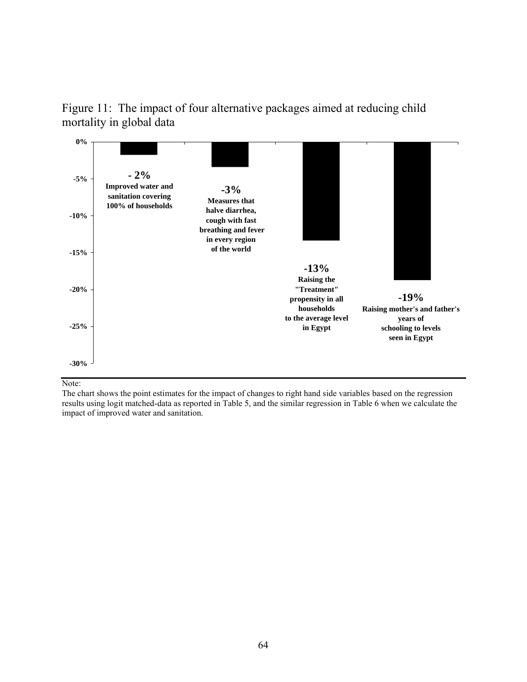Figure 11: The impact of four alternative packages aimed at reducing child mortality in global data



Note:

The chart shows the point estimates for the impact of changes to right hand side variables based on the regression results using logit matched-data as reported in Table 5, and the similar regression in Table 6 when we calculate the impact of improved water and sanitation.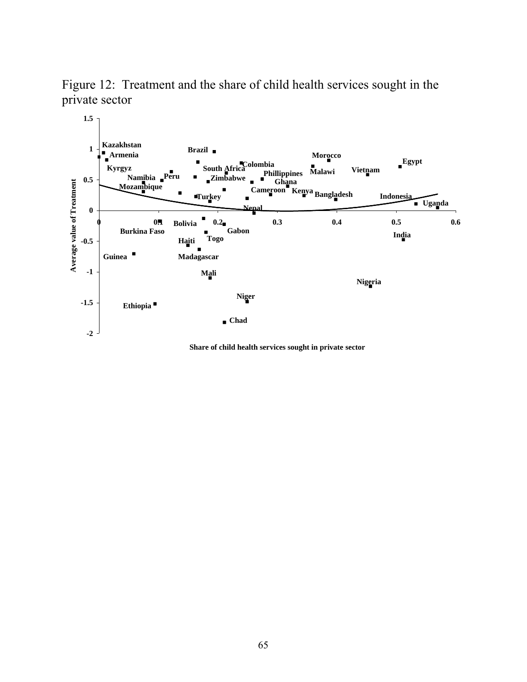Figure 12: Treatment and the share of child health services sought in the private sector



**Share of child health services sought in private sector**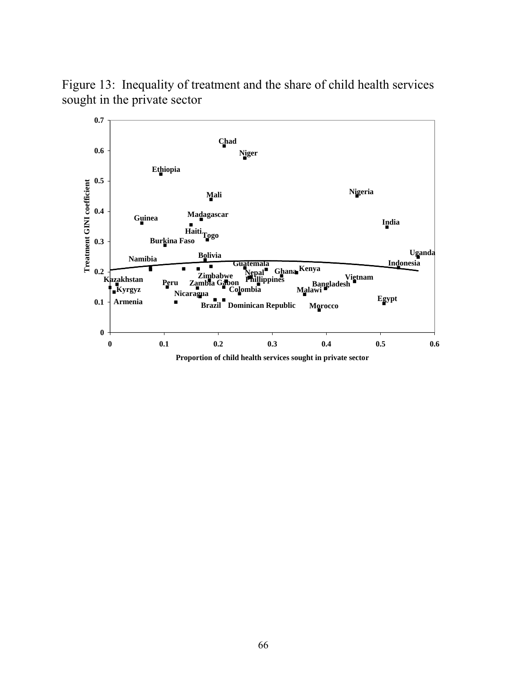

Figure 13: Inequality of treatment and the share of child health services sought in the private sector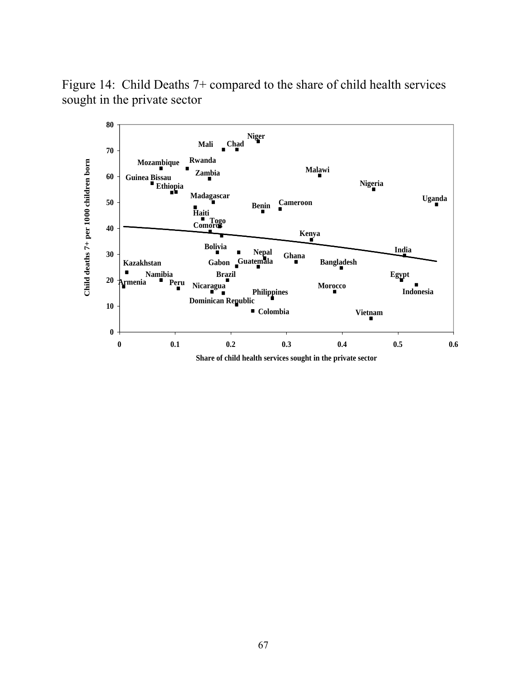Figure 14: Child Deaths 7+ compared to the share of child health services sought in the private sector

![](_page_68_Figure_1.jpeg)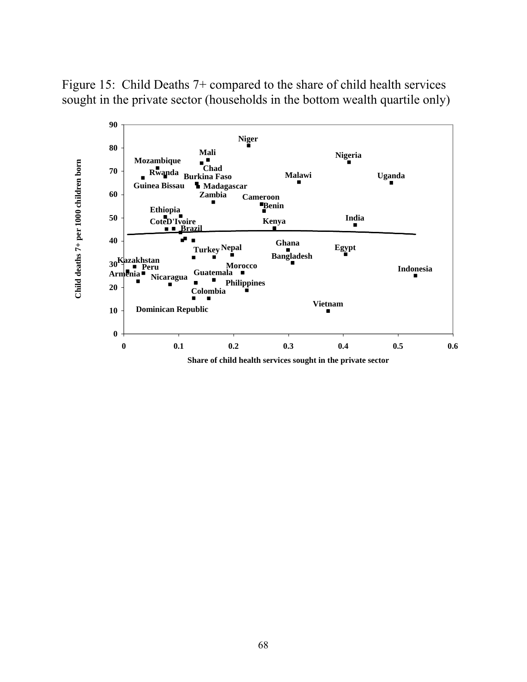Figure 15: Child Deaths 7+ compared to the share of child health services sought in the private sector (households in the bottom wealth quartile only)

![](_page_69_Figure_1.jpeg)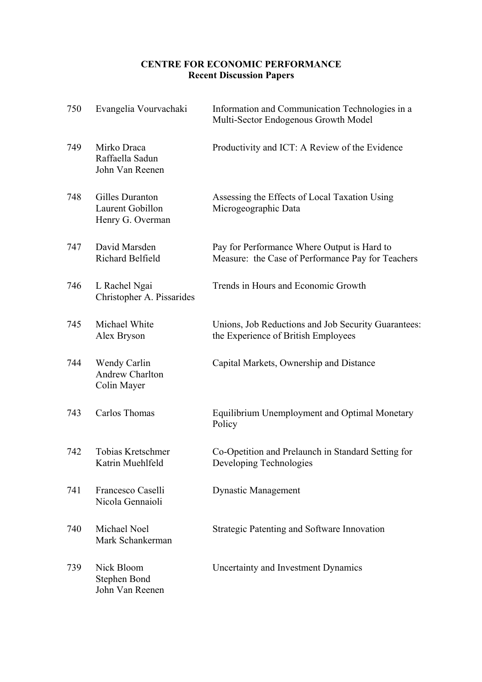# **CENTRE FOR ECONOMIC PERFORMANCE Recent Discussion Papers**

| 750 | Evangelia Vourvachaki                                   | Information and Communication Technologies in a<br>Multi-Sector Endogenous Growth Model          |
|-----|---------------------------------------------------------|--------------------------------------------------------------------------------------------------|
| 749 | Mirko Draca<br>Raffaella Sadun<br>John Van Reenen       | Productivity and ICT: A Review of the Evidence                                                   |
| 748 | Gilles Duranton<br>Laurent Gobillon<br>Henry G. Overman | Assessing the Effects of Local Taxation Using<br>Microgeographic Data                            |
| 747 | David Marsden<br>Richard Belfield                       | Pay for Performance Where Output is Hard to<br>Measure: the Case of Performance Pay for Teachers |
| 746 | L Rachel Ngai<br>Christopher A. Pissarides              | Trends in Hours and Economic Growth                                                              |
| 745 | Michael White<br>Alex Bryson                            | Unions, Job Reductions and Job Security Guarantees:<br>the Experience of British Employees       |
| 744 | Wendy Carlin<br><b>Andrew Charlton</b><br>Colin Mayer   | Capital Markets, Ownership and Distance                                                          |
| 743 | Carlos Thomas                                           | Equilibrium Unemployment and Optimal Monetary<br>Policy                                          |
| 742 | Tobias Kretschmer<br>Katrin Muehlfeld                   | Co-Opetition and Prelaunch in Standard Setting for<br>Developing Technologies                    |
| 741 | Francesco Caselli<br>Nicola Gennaioli                   | <b>Dynastic Management</b>                                                                       |
| 740 | Michael Noel<br>Mark Schankerman                        | <b>Strategic Patenting and Software Innovation</b>                                               |
| 739 | Nick Bloom<br>Stephen Bond<br>John Van Reenen           | Uncertainty and Investment Dynamics                                                              |